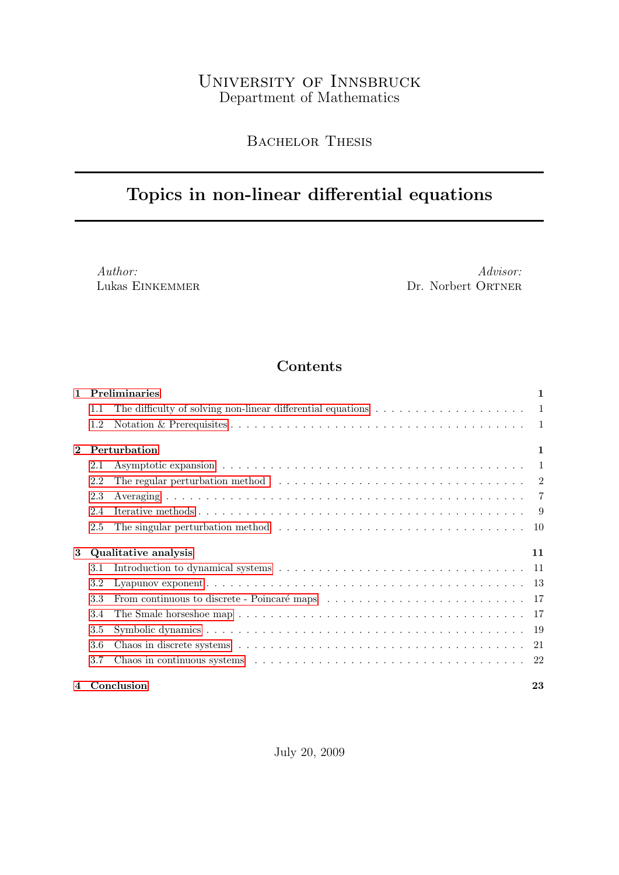# University of Innsbruck Department of Mathematics

# BACHELOR THESIS

# Topics in non-linear differential equations

Author: Lukas Einkemmer

Advisor: Dr. Norbert ORTNER

# Contents

| $\mathbf{1}$ | <b>Preliminaries</b> |                                                                                                                         |    |  |  |
|--------------|----------------------|-------------------------------------------------------------------------------------------------------------------------|----|--|--|
|              | 1.1                  | The difficulty of solving non-linear differential equations $\dots \dots \dots \dots \dots \dots \dots \dots$           |    |  |  |
|              | 1.2                  |                                                                                                                         |    |  |  |
| $\mathbf{2}$ |                      | Perturbation                                                                                                            | 1  |  |  |
|              | 2.1                  |                                                                                                                         | -1 |  |  |
|              | 2.2                  |                                                                                                                         |    |  |  |
|              | 2.3                  |                                                                                                                         |    |  |  |
|              | 2.4                  |                                                                                                                         |    |  |  |
|              | 2.5                  |                                                                                                                         |    |  |  |
| 3            |                      | Qualitative analysis                                                                                                    | 11 |  |  |
|              | 3.1                  |                                                                                                                         |    |  |  |
|              | 3.2                  |                                                                                                                         |    |  |  |
|              | 3.3                  | From continuous to discrete - Poincaré maps $\ldots \ldots \ldots \ldots \ldots \ldots \ldots \ldots \ldots \ldots$     |    |  |  |
|              | 3.4                  | The Smale horseshoe map $\ldots \ldots \ldots \ldots \ldots \ldots \ldots \ldots \ldots \ldots \ldots \ldots \ldots 17$ |    |  |  |
|              | 3.5                  |                                                                                                                         |    |  |  |
|              | 3.6                  |                                                                                                                         |    |  |  |
|              | 3.7                  |                                                                                                                         |    |  |  |
| 4            |                      | Conclusion                                                                                                              | 23 |  |  |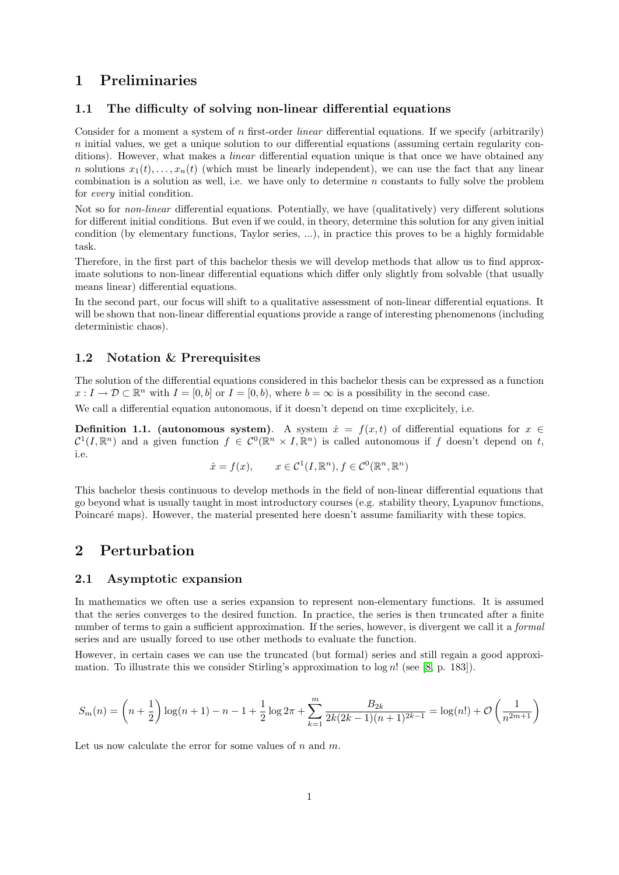# <span id="page-1-0"></span>1 Preliminaries

#### <span id="page-1-1"></span>1.1 The difficulty of solving non-linear differential equations

Consider for a moment a system of n first-order *linear* differential equations. If we specify (arbitrarily)  $n$  initial values, we get a unique solution to our differential equations (assuming certain regularity conditions). However, what makes a *linear* differential equation unique is that once we have obtained any n solutions  $x_1(t), \ldots, x_n(t)$  (which must be linearly independent), we can use the fact that any linear combination is a solution as well, i.e. we have only to determine  $n$  constants to fully solve the problem for every initial condition.

Not so for non-linear differential equations. Potentially, we have (qualitatively) very different solutions for different initial conditions. But even if we could, in theory, determine this solution for any given initial condition (by elementary functions, Taylor series, ...), in practice this proves to be a highly formidable task.

Therefore, in the first part of this bachelor thesis we will develop methods that allow us to find approximate solutions to non-linear differential equations which differ only slightly from solvable (that usually means linear) differential equations.

In the second part, our focus will shift to a qualitative assessment of non-linear differential equations. It will be shown that non-linear differential equations provide a range of interesting phenomenons (including deterministic chaos).

#### <span id="page-1-2"></span>1.2 Notation & Prerequisites

The solution of the differential equations considered in this bachelor thesis can be expressed as a function  $x: I \to \mathcal{D} \subset \mathbb{R}^n$  with  $I = [0, b]$  or  $I = [0, b)$ , where  $b = \infty$  is a possibility in the second case.

We call a differential equation autonomous, if it doesn't depend on time excplicitely, i.e.

Definition 1.1. (autonomous system). A system  $\dot{x} = f(x, t)$  of differential equations for  $x \in$  $\mathcal{C}^1(I,\mathbb{R}^n)$  and a given function  $f \in \mathcal{C}^0(\mathbb{R}^n \times I,\mathbb{R}^n)$  is called autonomous if f doesn't depend on t, i.e.

$$
\dot{x} = f(x), \qquad x \in \mathcal{C}^1(I, \mathbb{R}^n), f \in \mathcal{C}^0(\mathbb{R}^n, \mathbb{R}^n)
$$

This bachelor thesis continuous to develop methods in the field of non-linear differential equations that go beyond what is usually taught in most introductory courses (e.g. stability theory, Lyapunov functions, Poincaré maps). However, the material presented here doesn't assume familiarity with these topics.

### <span id="page-1-3"></span>2 Perturbation

#### <span id="page-1-4"></span>2.1 Asymptotic expansion

In mathematics we often use a series expansion to represent non-elementary functions. It is assumed that the series converges to the desired function. In practice, the series is then truncated after a finite number of terms to gain a sufficient approximation. If the series, however, is divergent we call it a *formal* series and are usually forced to use other methods to evaluate the function.

However, in certain cases we can use the truncated (but formal) series and still regain a good approximation. To illustrate this we consider Stirling's approximation to  $log n!$  (see [\[8,](#page-24-0) p. 183]).

$$
S_m(n) = \left(n + \frac{1}{2}\right) \log(n+1) - n - 1 + \frac{1}{2} \log 2\pi + \sum_{k=1}^m \frac{B_{2k}}{2k(2k-1)(n+1)^{2k-1}} = \log(n!) + \mathcal{O}\left(\frac{1}{n^{2m+1}}\right)
$$

Let us now calculate the error for some values of  $n$  and  $m$ .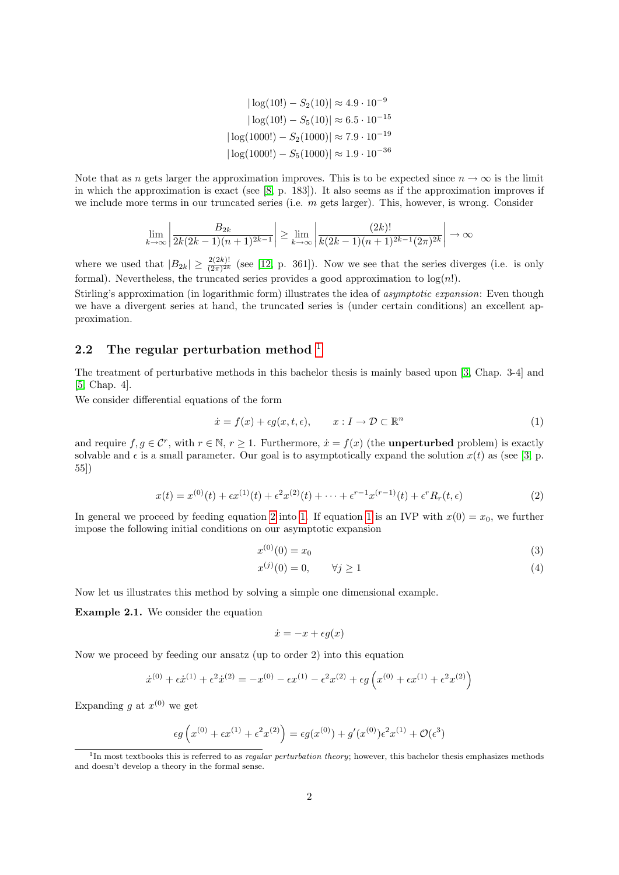$$
|\log(10!) - S_2(10)| \approx 4.9 \cdot 10^{-9}
$$
  
\n
$$
|\log(10!) - S_5(10)| \approx 6.5 \cdot 10^{-15}
$$
  
\n
$$
|\log(1000!) - S_2(1000)| \approx 7.9 \cdot 10^{-19}
$$
  
\n
$$
|\log(1000!) - S_5(1000)| \approx 1.9 \cdot 10^{-36}
$$

Note that as n gets larger the approximation improves. This is to be expected since  $n \to \infty$  is the limit in which the approximation is exact (see  $[8, p. 183]$  $[8, p. 183]$ ). It also seems as if the approximation improves if we include more terms in our truncated series (i.e.  $m$  gets larger). This, however, is wrong. Consider

$$
\lim_{k \to \infty} \left| \frac{B_{2k}}{2k(2k-1)(n+1)^{2k-1}} \right| \ge \lim_{k \to \infty} \left| \frac{(2k)!}{k(2k-1)(n+1)^{2k-1}(2\pi)^{2k}} \right| \to \infty
$$

where we used that  $|B_{2k}| \geq \frac{2(2k)!}{(2\pi)^{2k}}$  (see [\[12,](#page-24-1) p. 361]). Now we see that the series diverges (i.e. is only formal). Nevertheless, the truncated series provides a good approximation to  $log(n!)$ .

Stirling's approximation (in logarithmic form) illustrates the idea of asymptotic expansion: Even though we have a divergent series at hand, the truncated series is (under certain conditions) an excellent approximation.

#### <span id="page-2-0"></span>2.2 The regular perturbation method  $<sup>1</sup>$  $<sup>1</sup>$  $<sup>1</sup>$ </sup>

The treatment of perturbative methods in this bachelor thesis is mainly based upon [\[3,](#page-24-2) Chap. 3-4] and [\[5,](#page-24-3) Chap. 4].

We consider differential equations of the form

<span id="page-2-3"></span>
$$
\dot{x} = f(x) + \epsilon g(x, t, \epsilon), \qquad x : I \to \mathcal{D} \subset \mathbb{R}^n \tag{1}
$$

and require  $f, g \in \mathcal{C}^r$ , with  $r \in \mathbb{N}, r \ge 1$ . Furthermore,  $\dot{x} = f(x)$  (the **unperturbed** problem) is exactly solvable and  $\epsilon$  is a small parameter. Our goal is to asymptotically expand the solution  $x(t)$  as (see [\[3,](#page-24-2) p. 55])

<span id="page-2-2"></span>
$$
x(t) = x^{(0)}(t) + \epsilon x^{(1)}(t) + \epsilon^2 x^{(2)}(t) + \cdots + \epsilon^{r-1} x^{(r-1)}(t) + \epsilon^r R_r(t, \epsilon)
$$
\n(2)

In general we proceed by feeding equation [2](#page-2-2) into [1.](#page-2-3) If equation [1](#page-2-3) is an IVP with  $x(0) = x_0$ , we further impose the following initial conditions on our asymptotic expansion

$$
x^{(0)}(0) = x_0 \tag{3}
$$

$$
x^{(j)}(0) = 0, \qquad \forall j \ge 1 \tag{4}
$$

Now let us illustrates this method by solving a simple one dimensional example.

<span id="page-2-4"></span>Example 2.1. We consider the equation

$$
\dot{x} = -x + \epsilon g(x)
$$

Now we proceed by feeding our ansatz (up to order 2) into this equation

$$
\dot{x}^{(0)} + \epsilon \dot{x}^{(1)} + \epsilon^2 \dot{x}^{(2)} = -x^{(0)} - \epsilon x^{(1)} - \epsilon^2 x^{(2)} + \epsilon g \left( x^{(0)} + \epsilon x^{(1)} + \epsilon^2 x^{(2)} \right)
$$

Expanding g at  $x^{(0)}$  we get

$$
\epsilon g\left(x^{(0)} + \epsilon x^{(1)} + \epsilon^2 x^{(2)}\right) = \epsilon g(x^{(0)}) + g'(x^{(0)})\epsilon^2 x^{(1)} + \mathcal{O}(\epsilon^3)
$$

<span id="page-2-1"></span><sup>&</sup>lt;sup>1</sup>In most textbooks this is referred to as *regular perturbation theory*; however, this bachelor thesis emphasizes methods and doesn't develop a theory in the formal sense.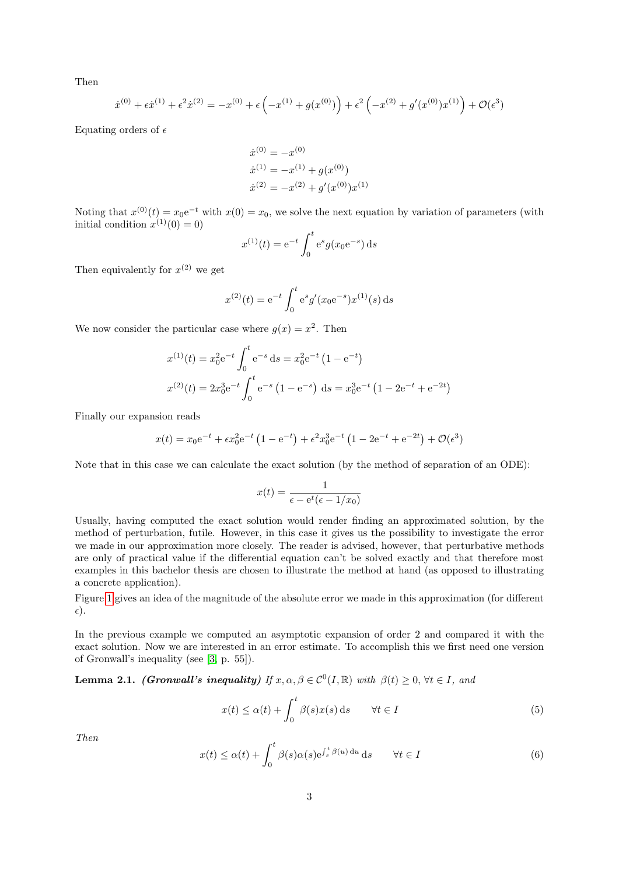Then

$$
\dot{x}^{(0)} + \epsilon \dot{x}^{(1)} + \epsilon^2 \dot{x}^{(2)} = -x^{(0)} + \epsilon \left( -x^{(1)} + g(x^{(0)}) \right) + \epsilon^2 \left( -x^{(2)} + g'(x^{(0)})x^{(1)} \right) + \mathcal{O}(\epsilon^3)
$$

Equating orders of  $\epsilon$ 

$$
\dot{x}^{(0)} = -x^{(0)}\n\dot{x}^{(1)} = -x^{(1)} + g(x^{(0)})\n\dot{x}^{(2)} = -x^{(2)} + g'(x^{(0)})x^{(1)}
$$

Noting that  $x^{(0)}(t) = x_0 e^{-t}$  with  $x(0) = x_0$ , we solve the next equation by variation of parameters (with initial condition  $x^{(1)}(0) = 0$ 

$$
x^{(1)}(t) = e^{-t} \int_0^t e^s g(x_0 e^{-s}) ds
$$

Then equivalently for  $x^{(2)}$  we get

$$
x^{(2)}(t) = e^{-t} \int_0^t e^s g'(x_0 e^{-s}) x^{(1)}(s) ds
$$

We now consider the particular case where  $g(x) = x^2$ . Then

$$
x^{(1)}(t) = x_0^2 e^{-t} \int_0^t e^{-s} ds = x_0^2 e^{-t} (1 - e^{-t})
$$
  

$$
x^{(2)}(t) = 2x_0^3 e^{-t} \int_0^t e^{-s} (1 - e^{-s}) ds = x_0^3 e^{-t} (1 - 2e^{-t} + e^{-2t})
$$

Finally our expansion reads

$$
x(t) = x_0 e^{-t} + \epsilon x_0^2 e^{-t} (1 - e^{-t}) + \epsilon^2 x_0^3 e^{-t} (1 - 2e^{-t} + e^{-2t}) + \mathcal{O}(\epsilon^3)
$$

Note that in this case we can calculate the exact solution (by the method of separation of an ODE):

$$
x(t) = \frac{1}{\epsilon - e^t(\epsilon - 1/x_0)}
$$

Usually, having computed the exact solution would render finding an approximated solution, by the method of perturbation, futile. However, in this case it gives us the possibility to investigate the error we made in our approximation more closely. The reader is advised, however, that perturbative methods are only of practical value if the differential equation can't be solved exactly and that therefore most examples in this bachelor thesis are chosen to illustrate the method at hand (as opposed to illustrating a concrete application).

Figure [1](#page-4-0) gives an idea of the magnitude of the absolute error we made in this approximation (for different  $\epsilon$ ).

In the previous example we computed an asymptotic expansion of order 2 and compared it with the exact solution. Now we are interested in an error estimate. To accomplish this we first need one version of Gronwall's inequality (see [\[3,](#page-24-2) p. 55]).

**Lemma 2.1.** (Gronwall's inequality) If  $x, \alpha, \beta \in C^0(I, \mathbb{R})$  with  $\beta(t) \geq 0, \forall t \in I$ , and

<span id="page-3-0"></span>
$$
x(t) \le \alpha(t) + \int_0^t \beta(s)x(s) \, ds \qquad \forall t \in I
$$
\n<sup>(5)</sup>

Then

<span id="page-3-1"></span>
$$
x(t) \le \alpha(t) + \int_0^t \beta(s)\alpha(s)e^{\int_s^t \beta(u) du} ds \qquad \forall t \in I
$$
 (6)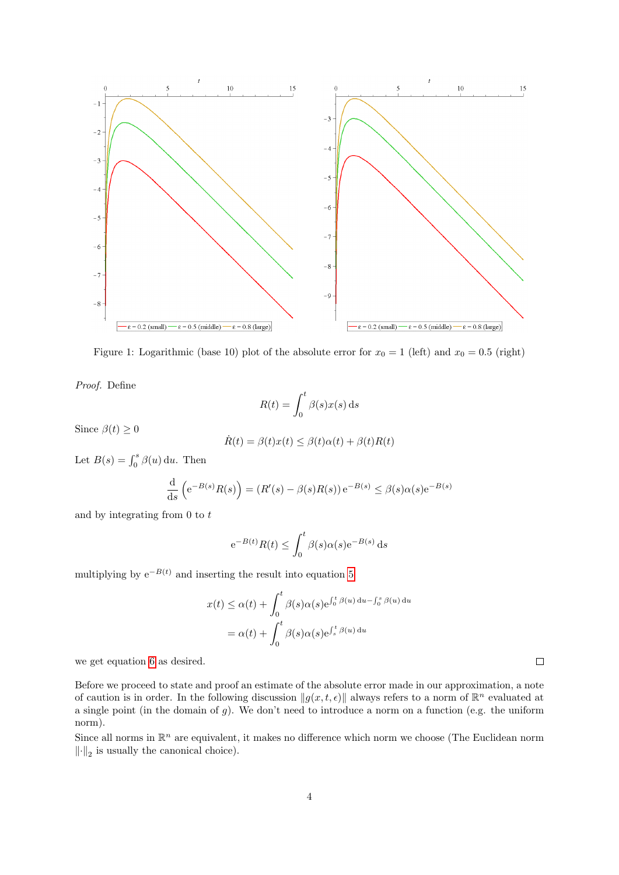

<span id="page-4-0"></span>Figure 1: Logarithmic (base 10) plot of the absolute error for  $x_0 = 1$  (left) and  $x_0 = 0.5$  (right)

Proof. Define

$$
R(t) = \int_0^t \beta(s)x(s) \,\mathrm{d}s
$$

Since  $\beta(t) \geq 0$ 

$$
\dot{R}(t) = \beta(t)x(t) \leq \beta(t)\alpha(t) + \beta(t)R(t)
$$

Let  $B(s) = \int_0^s \beta(u) \, \mathrm{d}u$ . Then

$$
\frac{\mathrm{d}}{\mathrm{d}s}\left(e^{-B(s)}R(s)\right) = \left(R'(s) - \beta(s)R(s)\right)e^{-B(s)} \le \beta(s)\alpha(s)e^{-B(s)}
$$

and by integrating from 0 to t

$$
e^{-B(t)}R(t) \le \int_0^t \beta(s)\alpha(s)e^{-B(s)} ds
$$

multiplying by  $e^{-B(t)}$  and inserting the result into equation [5](#page-3-0)

$$
x(t) \leq \alpha(t) + \int_0^t \beta(s)\alpha(s)e^{\int_0^t \beta(u) du - \int_0^s \beta(u) du}
$$
  
=  $\alpha(t) + \int_0^t \beta(s)\alpha(s)e^{\int_s^t \beta(u) du}$ 

we get equation [6](#page-3-1) as desired.

Before we proceed to state and proof an estimate of the absolute error made in our approximation, a note of caution is in order. In the following discussion  $||g(x, t, \epsilon)||$  always refers to a norm of  $\mathbb{R}^n$  evaluated at a single point (in the domain of  $g$ ). We don't need to introduce a norm on a function (e.g. the uniform norm).

Since all norms in  $\mathbb{R}^n$  are equivalent, it makes no difference which norm we choose (The Euclidean norm  $\left\Vert \cdot\right\Vert _{2}$  is usually the canonical choice).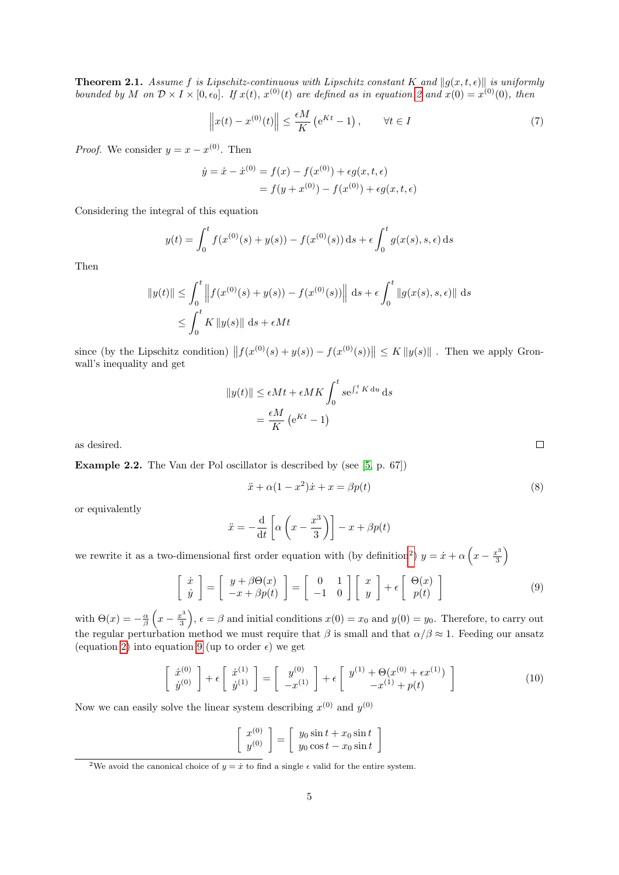<span id="page-5-3"></span>**Theorem 2.1.** Assume f is Lipschitz-continuous with Lipschitz constant K and  $\|q(x, t, \epsilon)\|$  is uniformly bounded by M on  $\mathcal{D} \times I \times [0, \epsilon_0]$ . If  $x(t), x^{(0)}(t)$  are defined as in equation [2](#page-2-2) and  $x(0) = x^{(0)}(0)$ , then

$$
\left\|x(t) - x^{(0)}(t)\right\| \le \frac{\epsilon M}{K} \left(e^{Kt} - 1\right), \qquad \forall t \in I \tag{7}
$$

*Proof.* We consider  $y = x - x^{(0)}$ . Then

$$
\dot{y} = \dot{x} - \dot{x}^{(0)} = f(x) - f(x^{(0)}) + \epsilon g(x, t, \epsilon)
$$

$$
= f(y + x^{(0)}) - f(x^{(0)}) + \epsilon g(x, t, \epsilon)
$$

Considering the integral of this equation

$$
y(t) = \int_0^t f(x^{(0)}(s) + y(s)) - f(x^{(0)}(s)) ds + \epsilon \int_0^t g(x(s), s, \epsilon) ds
$$

Then

$$
||y(t)|| \le \int_0^t ||f(x^{(0)}(s) + y(s)) - f(x^{(0)}(s))|| \, ds + \epsilon \int_0^t ||g(x(s), s, \epsilon)|| \, ds
$$
  

$$
\le \int_0^t K ||y(s)|| \, ds + \epsilon Mt
$$

since (by the Lipschitz condition)  $|| f(x^{(0)}(s) + y(s)) - f(x^{(0)}(s)) || \le K ||y(s)||$ . Then we apply Gronwall's inequality and get

$$
||y(t)|| \le \epsilon Mt + \epsilon MK \int_0^t s e^{\int_s^t K du} ds
$$
  
=  $\frac{\epsilon M}{K} (e^{Kt} - 1)$ 

as desired.

Example 2.2. The Van der Pol oscillator is described by (see [\[5,](#page-24-3) p. 67])

$$
\ddot{x} + \alpha (1 - x^2) \dot{x} + x = \beta p(t) \tag{8}
$$

or equivalently

$$
\ddot{x} = -\frac{\mathrm{d}}{\mathrm{d}t} \left[ \alpha \left( x - \frac{x^3}{3} \right) \right] - x + \beta p(t)
$$

we rewrite it as a two-dimensional first order equation with (by definition<sup>[2](#page-5-0)</sup>)  $y = \dot{x} + \alpha \left(x - \frac{x^3}{3}\right)$  $rac{x^3}{3}$ 

<span id="page-5-1"></span>
$$
\begin{bmatrix} \dot{x} \\ \dot{y} \end{bmatrix} = \begin{bmatrix} y + \beta \Theta(x) \\ -x + \beta p(t) \end{bmatrix} = \begin{bmatrix} 0 & 1 \\ -1 & 0 \end{bmatrix} \begin{bmatrix} x \\ y \end{bmatrix} + \epsilon \begin{bmatrix} \Theta(x) \\ p(t) \end{bmatrix}
$$
(9)

with  $\Theta(x) = -\frac{\alpha}{\beta} \left( x - \frac{x^3}{3} \right)$  $\left(\frac{x^3}{3}\right)$ ,  $\epsilon = \beta$  and initial conditions  $x(0) = x_0$  and  $y(0) = y_0$ . Therefore, to carry out the regular perturbation method we must require that  $\beta$  is small and that  $\alpha/\beta \approx 1$ . Feeding our ansatz (equation [2\)](#page-2-2) into equation [9](#page-5-1) (up to order  $\epsilon$ ) we get

<span id="page-5-2"></span>
$$
\begin{bmatrix}\n\dot{x}^{(0)} \\
\dot{y}^{(0)}\n\end{bmatrix} + \epsilon \begin{bmatrix}\n\dot{x}^{(1)} \\
\dot{y}^{(1)}\n\end{bmatrix} = \begin{bmatrix}\ny^{(0)} \\
-x^{(1)}\n\end{bmatrix} + \epsilon \begin{bmatrix}\ny^{(1)} + \Theta(x^{(0)} + \epsilon x^{(1)}) \\
-x^{(1)} + p(t)\n\end{bmatrix}
$$
\n(10)

Now we can easily solve the linear system describing  $x^{(0)}$  and  $y^{(0)}$ 

$$
\begin{bmatrix} x^{(0)} \\ y^{(0)} \end{bmatrix} = \begin{bmatrix} y_0 \sin t + x_0 \sin t \\ y_0 \cos t - x_0 \sin t \end{bmatrix}
$$

<span id="page-5-0"></span><sup>&</sup>lt;sup>2</sup>We avoid the canonical choice of  $y = \dot{x}$  to find a single  $\epsilon$  valid for the entire system.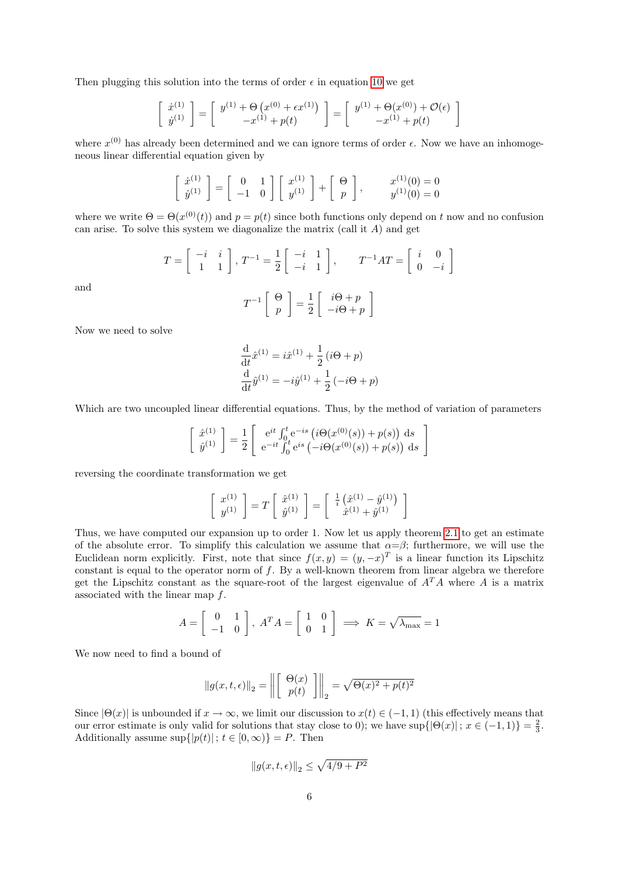Then plugging this solution into the terms of order  $\epsilon$  in equation [10](#page-5-2) we get

$$
\begin{bmatrix}\n\dot{x}^{(1)} \\
\dot{y}^{(1)}\n\end{bmatrix} = \begin{bmatrix}\ny^{(1)} + \Theta(x^{(0)} + \epsilon x^{(1)}) \\
-x^{(1)} + p(t)\n\end{bmatrix} = \begin{bmatrix}\ny^{(1)} + \Theta(x^{(0)}) + \mathcal{O}(\epsilon) \\
-x^{(1)} + p(t)\n\end{bmatrix}
$$

where  $x^{(0)}$  has already been determined and we can ignore terms of order  $\epsilon$ . Now we have an inhomogeneous linear differential equation given by

$$
\begin{bmatrix} \dot{x}^{(1)} \\ \dot{y}^{(1)} \end{bmatrix} = \begin{bmatrix} 0 & 1 \\ -1 & 0 \end{bmatrix} \begin{bmatrix} x^{(1)} \\ y^{(1)} \end{bmatrix} + \begin{bmatrix} \Theta \\ p \end{bmatrix}, \qquad \begin{aligned} x^{(1)}(0) &= 0 \\ y^{(1)}(0) &= 0 \end{aligned}
$$

where we write  $\Theta = \Theta(x^{(0)}(t))$  and  $p = p(t)$  since both functions only depend on t now and no confusion can arise. To solve this system we diagonalize the matrix (call it  $A$ ) and get

$$
T = \begin{bmatrix} -i & i \\ 1 & 1 \end{bmatrix}, T^{-1} = \frac{1}{2} \begin{bmatrix} -i & 1 \\ -i & 1 \end{bmatrix}, T^{-1}AT = \begin{bmatrix} i & 0 \\ 0 & -i \end{bmatrix}
$$

and

$$
T^{-1}\left[\begin{array}{c} \Theta \\ p \end{array}\right] = \frac{1}{2}\left[\begin{array}{c} i\Theta + p \\ -i\Theta + p \end{array}\right]
$$

Now we need to solve

$$
\frac{d}{dt}\hat{x}^{(1)} = i\hat{x}^{(1)} + \frac{1}{2}(i\Theta + p) \n\frac{d}{dt}\hat{y}^{(1)} = -i\hat{y}^{(1)} + \frac{1}{2}(-i\Theta + p)
$$

Which are two uncoupled linear differential equations. Thus, by the method of variation of parameters

$$
\begin{bmatrix}\n\hat{x}^{(1)} \\
\hat{y}^{(1)}\n\end{bmatrix} = \frac{1}{2} \begin{bmatrix}\ne^{it} \int_0^t e^{-is} (\mathbf{i}\Theta(x^{(0)}(s)) + p(s)) ds \\
e^{-it} \int_0^t e^{is} (-i\Theta(x^{(0)}(s)) + p(s)) ds\n\end{bmatrix}
$$

reversing the coordinate transformation we get

$$
\begin{bmatrix} x^{(1)} \\ y^{(1)} \end{bmatrix} = T \begin{bmatrix} \hat{x}^{(1)} \\ \hat{y}^{(1)} \end{bmatrix} = \begin{bmatrix} \frac{1}{i} \left( \hat{x}^{(1)} - \hat{y}^{(1)} \right) \\ \hat{x}^{(1)} + \hat{y}^{(1)} \end{bmatrix}
$$

Thus, we have computed our expansion up to order 1. Now let us apply theorem [2.1](#page-5-3) to get an estimate of the absolute error. To simplify this calculation we assume that  $\alpha = \beta$ ; furthermore, we will use the Euclidean norm explicitly. First, note that since  $f(x,y) = (y,-x)^T$  is a linear function its Lipschitz constant is equal to the operator norm of  $f$ . By a well-known theorem from linear algebra we therefore get the Lipschitz constant as the square-root of the largest eigenvalue of  $A<sup>T</sup>A$  where A is a matrix associated with the linear map f.

$$
A = \begin{bmatrix} 0 & 1 \\ -1 & 0 \end{bmatrix}, A^T A = \begin{bmatrix} 1 & 0 \\ 0 & 1 \end{bmatrix} \implies K = \sqrt{\lambda_{\text{max}}} = 1
$$

We now need to find a bound of

$$
\|g(x,t,\epsilon)\|_2 = \left\| \begin{bmatrix} \Theta(x) \\ p(t) \end{bmatrix} \right\|_2 = \sqrt{\Theta(x)^2 + p(t)^2}
$$

Since  $|\Theta(x)|$  is unbounded if  $x \to \infty$ , we limit our discussion to  $x(t) \in (-1, 1)$  (this effectively means that our error estimate is only valid for solutions that stay close to 0); we have  $\sup\{|\Theta(x)| : x \in (-1,1)\} = \frac{2}{3}$ . Additionally assume  $\sup\{|p(t)|\,;\,t\in[0,\infty)\}=P.$  Then

$$
\left\|g(x,t,\epsilon)\right\|_2 \leq \sqrt{4/9+P^2}
$$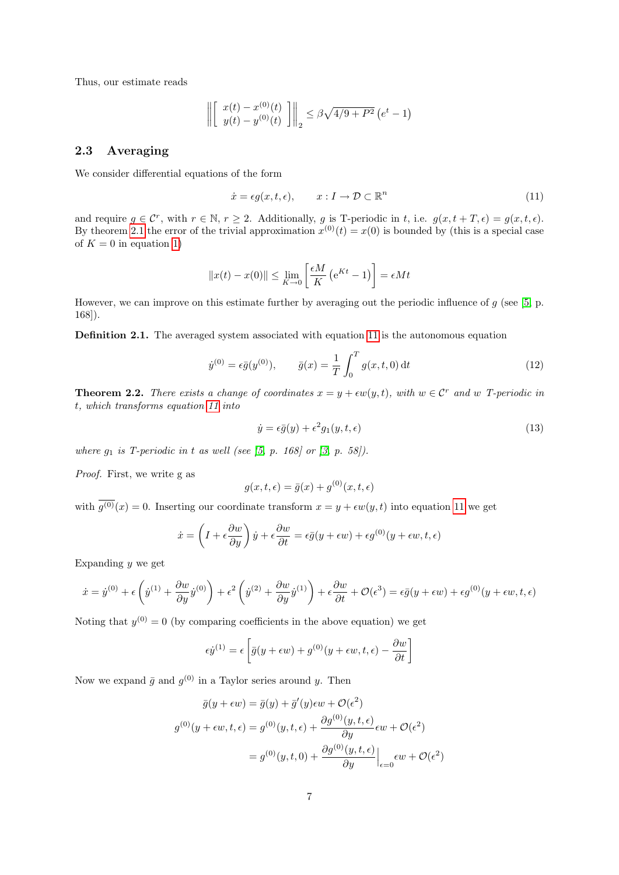Thus, our estimate reads

$$
\left\| \begin{bmatrix} x(t) - x^{(0)}(t) \\ y(t) - y^{(0)}(t) \end{bmatrix} \right\|_2 \le \beta \sqrt{4/9 + P^2} (e^t - 1)
$$

#### <span id="page-7-0"></span>2.3 Averaging

We consider differential equations of the form

<span id="page-7-1"></span>
$$
\dot{x} = \epsilon g(x, t, \epsilon), \qquad x : I \to \mathcal{D} \subset \mathbb{R}^n \tag{11}
$$

and require  $g \in \mathcal{C}^r$ , with  $r \in \mathbb{N}$ ,  $r \geq 2$ . Additionally, g is T-periodic in t, i.e.  $g(x, t + T, \epsilon) = g(x, t, \epsilon)$ . By theorem [2.1](#page-5-3) the error of the trivial approximation  $x^{(0)}(t) = x(0)$  is bounded by (this is a special case of  $K = 0$  in equation [1\)](#page-2-3)

$$
||x(t) - x(0)|| \le \lim_{K \to 0} \left[ \frac{\epsilon M}{K} \left( e^{Kt} - 1 \right) \right] = \epsilon M t
$$

However, we can improve on this estimate further by averaging out the periodic influence of  $g$  (see [\[5,](#page-24-3) p. 168]).

Definition 2.1. The averaged system associated with equation [11](#page-7-1) is the autonomous equation

<span id="page-7-2"></span>
$$
\dot{y}^{(0)} = \epsilon \bar{g}(y^{(0)}), \qquad \bar{g}(x) = \frac{1}{T} \int_0^T g(x, t, 0) dt
$$
\n(12)

<span id="page-7-3"></span>**Theorem 2.2.** There exists a change of coordinates  $x = y + \epsilon w(y, t)$ , with  $w \in \mathcal{C}^r$  and w T-periodic in t, which transforms equation [11](#page-7-1) into

$$
\dot{y} = \epsilon \bar{g}(y) + \epsilon^2 g_1(y, t, \epsilon) \tag{13}
$$

where  $g_1$  is T-periodic in t as well (see [\[5,](#page-24-3) p. 168] or [\[3,](#page-24-2) p. 58]).

Proof. First, we write g as

$$
g(x, t, \epsilon) = \bar{g}(x) + g^{(0)}(x, t, \epsilon)
$$

with  $g^{(0)}(x) = 0$ . Inserting our coordinate transform  $x = y + \epsilon w(y, t)$  into equation [11](#page-7-1) we get

$$
\dot{x} = \left(I + \epsilon \frac{\partial w}{\partial y}\right)\dot{y} + \epsilon \frac{\partial w}{\partial t} = \epsilon \bar{g}(y + \epsilon w) + \epsilon g^{(0)}(y + \epsilon w, t, \epsilon)
$$

Expanding  $y$  we get

$$
\dot{x} = \dot{y}^{(0)} + \epsilon \left( \dot{y}^{(1)} + \frac{\partial w}{\partial y} \dot{y}^{(0)} \right) + \epsilon^2 \left( \dot{y}^{(2)} + \frac{\partial w}{\partial y} \dot{y}^{(1)} \right) + \epsilon \frac{\partial w}{\partial t} + \mathcal{O}(\epsilon^3) = \epsilon \bar{g}(y + \epsilon w) + \epsilon g^{(0)}(y + \epsilon w, t, \epsilon)
$$

Noting that  $y^{(0)} = 0$  (by comparing coefficients in the above equation) we get

$$
\epsilon \dot{y}^{(1)} = \epsilon \left[ \bar{g}(y + \epsilon w) + g^{(0)}(y + \epsilon w, t, \epsilon) - \frac{\partial w}{\partial t} \right]
$$

Now we expand  $\bar{g}$  and  $g^{(0)}$  in a Taylor series around y. Then

$$
\bar{g}(y + \epsilon w) = \bar{g}(y) + \bar{g}'(y)\epsilon w + \mathcal{O}(\epsilon^2)
$$

$$
g^{(0)}(y + \epsilon w, t, \epsilon) = g^{(0)}(y, t, \epsilon) + \frac{\partial g^{(0)}(y, t, \epsilon)}{\partial y}\epsilon w + \mathcal{O}(\epsilon^2)
$$

$$
= g^{(0)}(y, t, 0) + \frac{\partial g^{(0)}(y, t, \epsilon)}{\partial y}\Big|_{\epsilon=0}\epsilon w + \mathcal{O}(\epsilon^2)
$$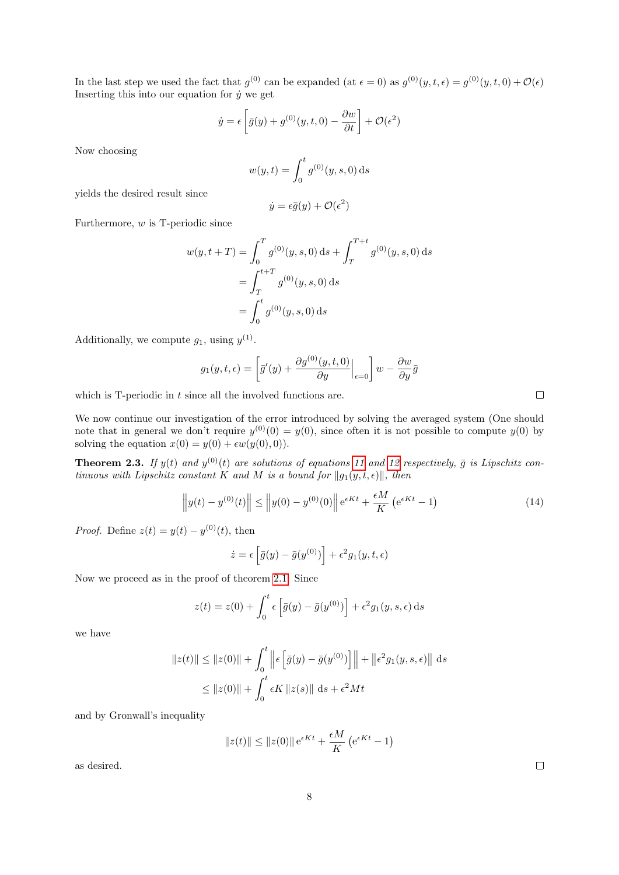In the last step we used the fact that  $g^{(0)}$  can be expanded (at  $\epsilon = 0$ ) as  $g^{(0)}(y, t, \epsilon) = g^{(0)}(y, t, 0) + \mathcal{O}(\epsilon)$ Inserting this into our equation for  $\dot{y}$  we get

$$
\dot{y} = \epsilon \left[ \bar{g}(y) + g^{(0)}(y, t, 0) - \frac{\partial w}{\partial t} \right] + \mathcal{O}(\epsilon^2)
$$

Now choosing

$$
w(y,t) = \int_0^t g^{(0)}(y,s,0) \,ds
$$

yields the desired result since

$$
\dot{y} = \epsilon \bar{g}(y) + \mathcal{O}(\epsilon^2)
$$

Furthermore,  $w$  is T-periodic since

$$
w(y, t + T) = \int_0^T g^{(0)}(y, s, 0) ds + \int_T^{T+t} g^{(0)}(y, s, 0) ds
$$
  
= 
$$
\int_T^{t+T} g^{(0)}(y, s, 0) ds
$$
  
= 
$$
\int_0^t g^{(0)}(y, s, 0) ds
$$

Additionally, we compute  $g_1$ , using  $y^{(1)}$ .

$$
g_1(y, t, \epsilon) = \left[\bar{g}'(y) + \frac{\partial g^{(0)}(y, t, 0)}{\partial y}\Big|_{\epsilon=0}\right]w - \frac{\partial w}{\partial y}\bar{g}
$$

which is  $T$ -periodic in  $t$  since all the involved functions are.

We now continue our investigation of the error introduced by solving the averaged system (One should note that in general we don't require  $y^{(0)}(0) = y(0)$ , since often it is not possible to compute  $y(0)$  by solving the equation  $x(0) = y(0) + \epsilon w(y(0), 0)$ .

<span id="page-8-0"></span>**Theorem 2.3.** If  $y(t)$  and  $y^{(0)}(t)$  are solutions of equations [11](#page-7-1) and [12](#page-7-2) respectively,  $\bar{g}$  is Lipschitz continuous with Lipschitz constant K and M is a bound for  $||g_1(y, t, \epsilon)||$ , then

$$
\left| |y(t) - y^{(0)}(t)| \right| \leq \left| |y(0) - y^{(0)}(0)| \right| e^{\epsilon K t} + \frac{\epsilon M}{K} \left( e^{\epsilon K t} - 1 \right)
$$
\n(14)

*Proof.* Define  $z(t) = y(t) - y^{(0)}(t)$ , then

$$
\dot{z} = \epsilon \left[ \bar{g}(y) - \bar{g}(y^{(0)}) \right] + \epsilon^2 g_1(y, t, \epsilon)
$$

Now we proceed as in the proof of theorem [2.1.](#page-5-3) Since

$$
z(t) = z(0) + \int_0^t \epsilon \left[ \bar{g}(y) - \bar{g}(y^{(0)}) \right] + \epsilon^2 g_1(y, s, \epsilon) \, \mathrm{d}s
$$

we have

$$
||z(t)|| \le ||z(0)|| + \int_0^t \left\| \epsilon \left[ \bar{g}(y) - \bar{g}(y^{(0)}) \right] \right\| + \left\| \epsilon^2 g_1(y, s, \epsilon) \right\| ds
$$
  

$$
\le ||z(0)|| + \int_0^t \epsilon K ||z(s)|| ds + \epsilon^2 Mt
$$

and by Gronwall's inequality

$$
||z(t)|| \le ||z(0)|| e^{\epsilon K t} + \frac{\epsilon M}{K} (e^{\epsilon K t} - 1)
$$

as desired.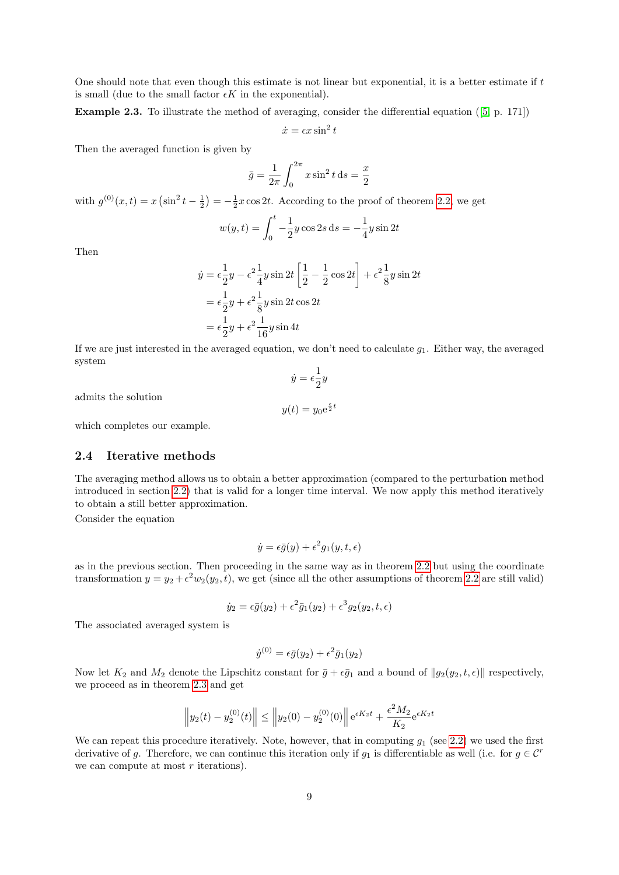One should note that even though this estimate is not linear but exponential, it is a better estimate if t is small (due to the small factor  $\epsilon K$  in the exponential).

Example 2.3. To illustrate the method of averaging, consider the differential equation ([\[5,](#page-24-3) p. 171])

$$
\dot{x} = \epsilon x \sin^2 t
$$

Then the averaged function is given by

$$
\bar{y} = \frac{1}{2\pi} \int_0^{2\pi} x \sin^2 t \, ds = \frac{x}{2}
$$

with  $g^{(0)}(x,t) = x \left(\sin^2 t - \frac{1}{2}\right) = -\frac{1}{2}x \cos 2t$ . According to the proof of theorem [2.2,](#page-7-3) we get

 $\overline{6}$ 

$$
w(y,t) = \int_0^t -\frac{1}{2}y\cos 2s \, ds = -\frac{1}{4}y\sin 2t
$$

Then

$$
\dot{y} = \epsilon \frac{1}{2}y - \epsilon^2 \frac{1}{4}y \sin 2t \left[ \frac{1}{2} - \frac{1}{2} \cos 2t \right] + \epsilon^2 \frac{1}{8}y \sin 2t
$$
  
=  $\epsilon \frac{1}{2}y + \epsilon^2 \frac{1}{8}y \sin 2t \cos 2t$   
=  $\epsilon \frac{1}{2}y + \epsilon^2 \frac{1}{16}y \sin 4t$ 

If we are just interested in the averaged equation, we don't need to calculate  $g_1$ . Either way, the averaged system  $\dot{y} = \epsilon \frac{1}{2}$ 

 $\frac{1}{2}y$ 

admits the solution

$$
y(t) = y_0 e^{\frac{\epsilon}{2}t}
$$

which completes our example.

#### <span id="page-9-0"></span>2.4 Iterative methods

The averaging method allows us to obtain a better approximation (compared to the perturbation method introduced in section [2.2\)](#page-2-0) that is valid for a longer time interval. We now apply this method iteratively to obtain a still better approximation.

Consider the equation

$$
\dot{y} = \epsilon \bar{g}(y) + \epsilon^2 g_1(y, t, \epsilon)
$$

as in the previous section. Then proceeding in the same way as in theorem [2.2](#page-7-3) but using the coordinate transformation  $y = y_2 + \epsilon^2 w_2(y_2, t)$ , we get (since all the other assumptions of theorem [2.2](#page-7-3) are still valid)

$$
\dot{y}_2 = \epsilon \bar{g}(y_2) + \epsilon^2 \bar{g}_1(y_2) + \epsilon^3 g_2(y_2, t, \epsilon)
$$

The associated averaged system is

$$
\dot{y}^{(0)} = \epsilon \bar{g}(y_2) + \epsilon^2 \bar{g}_1(y_2)
$$

Now let  $K_2$  and  $M_2$  denote the Lipschitz constant for  $\bar{g} + \epsilon \bar{g}_1$  and a bound of  $||g_2(y_2, t, \epsilon)||$  respectively, we proceed as in theorem [2.3](#page-8-0) and get

$$
\left\| y_2(t) - y_2^{(0)}(t) \right\| \le \left\| y_2(0) - y_2^{(0)}(0) \right\| e^{\epsilon K_2 t} + \frac{\epsilon^2 M_2}{K_2} e^{\epsilon K_2 t}
$$

We can repeat this procedure iteratively. Note, however, that in computing  $g_1$  (see [2.2\)](#page-7-3) we used the first derivative of g. Therefore, we can continue this iteration only if  $g_1$  is differentiable as well (i.e. for  $g \in \mathcal{C}^r$ we can compute at most  $r$  iterations).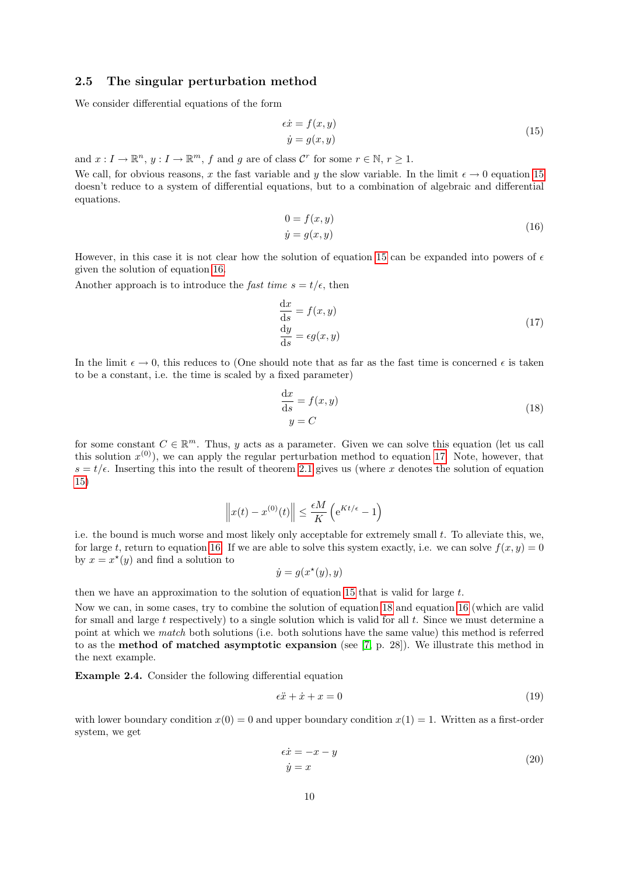#### <span id="page-10-0"></span>2.5 The singular perturbation method

<span id="page-10-1"></span>We consider differential equations of the form

$$
\epsilon \dot{x} = f(x, y) \n\dot{y} = g(x, y)
$$
\n(15)

and  $x: I \to \mathbb{R}^n$ ,  $y: I \to \mathbb{R}^m$ ,  $f$  and  $g$  are of class  $\mathcal{C}^r$  for some  $r \in \mathbb{N}$ ,  $r \geq 1$ .

We call, for obvious reasons, x the fast variable and y the slow variable. In the limit  $\epsilon \to 0$  equation [15](#page-10-1) doesn't reduce to a system of differential equations, but to a combination of algebraic and differential equations.

$$
0 = f(x, y)
$$
  
\n
$$
\dot{y} = g(x, y)
$$
\n(16)

<span id="page-10-2"></span>However, in this case it is not clear how the solution of equation [15](#page-10-1) can be expanded into powers of  $\epsilon$ given the solution of equation [16.](#page-10-2)

<span id="page-10-3"></span>Another approach is to introduce the *fast time*  $s = t/\epsilon$ , then

$$
\frac{dx}{ds} = f(x, y) \n\frac{dy}{ds} = \epsilon g(x, y)
$$
\n(17)

In the limit  $\epsilon \to 0$ , this reduces to (One should note that as far as the fast time is concerned  $\epsilon$  is taken to be a constant, i.e. the time is scaled by a fixed parameter)

$$
\frac{\mathrm{d}x}{\mathrm{d}s} = f(x, y) \tag{18}
$$
\n
$$
y = C
$$

<span id="page-10-4"></span>for some constant  $C \in \mathbb{R}^m$ . Thus, y acts as a parameter. Given we can solve this equation (let us call this solution  $x^{(0)}$ , we can apply the regular perturbation method to equation [17.](#page-10-3) Note, however, that  $s = t/\epsilon$ . Inserting this into the result of theorem [2](#page-5-3).1 gives us (where x denotes the solution of equation [15\)](#page-10-1)

$$
\left\|x(t) - x^{(0)}(t)\right\| \le \frac{\epsilon M}{K} \left(e^{Kt/\epsilon} - 1\right)
$$

i.e. the bound is much worse and most likely only acceptable for extremely small  $t$ . To alleviate this, we, for large t, return to equation [16.](#page-10-2) If we are able to solve this system exactly, i.e. we can solve  $f(x, y) = 0$ by  $x = x^*(y)$  and find a solution to

$$
\dot{y} = g(x^*(y), y)
$$

then we have an approximation to the solution of equation [15](#page-10-1) that is valid for large  $t$ .

Now we can, in some cases, try to combine the solution of equation [18](#page-10-4) and equation [16](#page-10-2) (which are valid for small and large  $t$  respectively) to a single solution which is valid for all  $t$ . Since we must determine a point at which we match both solutions (i.e. both solutions have the same value) this method is referred to as the method of matched asymptotic expansion (see [\[7,](#page-24-4) p. 28]). We illustrate this method in the next example.

Example 2.4. Consider the following differential equation

<span id="page-10-5"></span>
$$
\epsilon \ddot{x} + \dot{x} + x = 0 \tag{19}
$$

with lower boundary condition  $x(0) = 0$  and upper boundary condition  $x(1) = 1$ . Written as a first-order system, we get

$$
\epsilon \dot{x} = -x - y
$$
  
\n
$$
\dot{y} = x
$$
\n(20)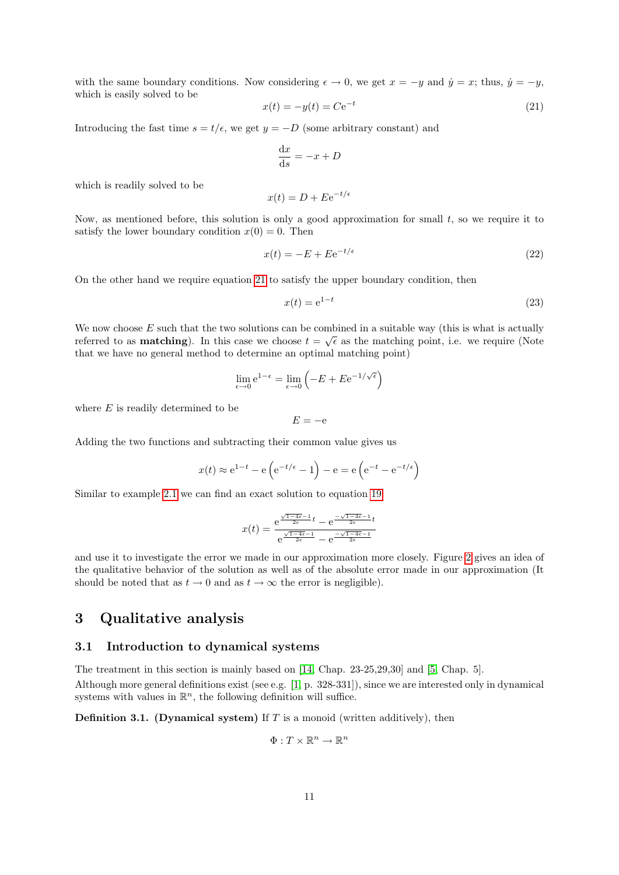with the same boundary conditions. Now considering  $\epsilon \to 0$ , we get  $x = -y$  and  $\dot{y} = x$ ; thus,  $\dot{y} = -y$ , which is easily solved to be

<span id="page-11-2"></span>
$$
x(t) = -y(t) = Ce^{-t}
$$
\n
$$
(21)
$$

Introducing the fast time  $s = t/\epsilon$ , we get  $y = -D$  (some arbitrary constant) and

$$
\frac{\mathrm{d}x}{\mathrm{d}s} = -x + D
$$

which is readily solved to be

$$
x(t) = D + E e^{-t/\epsilon}
$$

Now, as mentioned before, this solution is only a good approximation for small  $t$ , so we require it to satisfy the lower boundary condition  $x(0) = 0$ . Then

$$
x(t) = -E + E e^{-t/\epsilon} \tag{22}
$$

On the other hand we require equation [21](#page-11-2) to satisfy the upper boundary condition, then

$$
x(t) = e^{1-t} \tag{23}
$$

We now choose  $E$  such that the two solutions can be combined in a suitable way (this is what is actually referred to as **matching**). In this case we choose  $t = \sqrt{\epsilon}$  as the matching point, i.e. we require (Note that we have no general method to determine an optimal matching point)

$$
\lim_{\epsilon \to 0} e^{1-\epsilon} = \lim_{\epsilon \to 0} \left( -E + E e^{-1/\sqrt{\epsilon}} \right)
$$

where  $E$  is readily determined to be

 $E = -e$ 

Adding the two functions and subtracting their common value gives us

$$
x(t) \approx e^{1-t} - e\left(e^{-t/\epsilon} - 1\right) - e = e\left(e^{-t} - e^{-t/\epsilon}\right)
$$

Similar to example [2.1](#page-2-4) we can find an exact solution to equation [19](#page-10-5)

$$
x(t) = \frac{e^{\frac{\sqrt{1-4\epsilon}-1}{2\epsilon}t} - e^{\frac{-\sqrt{1-4\epsilon}-1}{2\epsilon}t}}{e^{\frac{\sqrt{1-4\epsilon}-1}{2\epsilon}} - e^{\frac{-\sqrt{1-4\epsilon}-1}{2\epsilon}}}
$$

and use it to investigate the error we made in our approximation more closely. Figure [2](#page-12-0) gives an idea of the qualitative behavior of the solution as well as of the absolute error made in our approximation (It should be noted that as  $t \to 0$  and as  $t \to \infty$  the error is negligible).

## <span id="page-11-0"></span>3 Qualitative analysis

#### <span id="page-11-1"></span>3.1 Introduction to dynamical systems

The treatment in this section is mainly based on [\[14,](#page-24-5) Chap. 23-25,29,30] and [\[5,](#page-24-3) Chap. 5].

Although more general definitions exist (see e.g. [\[1,](#page-24-6) p. 328-331]), since we are interested only in dynamical systems with values in  $\mathbb{R}^n$ , the following definition will suffice.

**Definition 3.1.** (Dynamical system) If  $T$  is a monoid (written additively), then

$$
\Phi:T\times\mathbb{R}^n\to\mathbb{R}^n
$$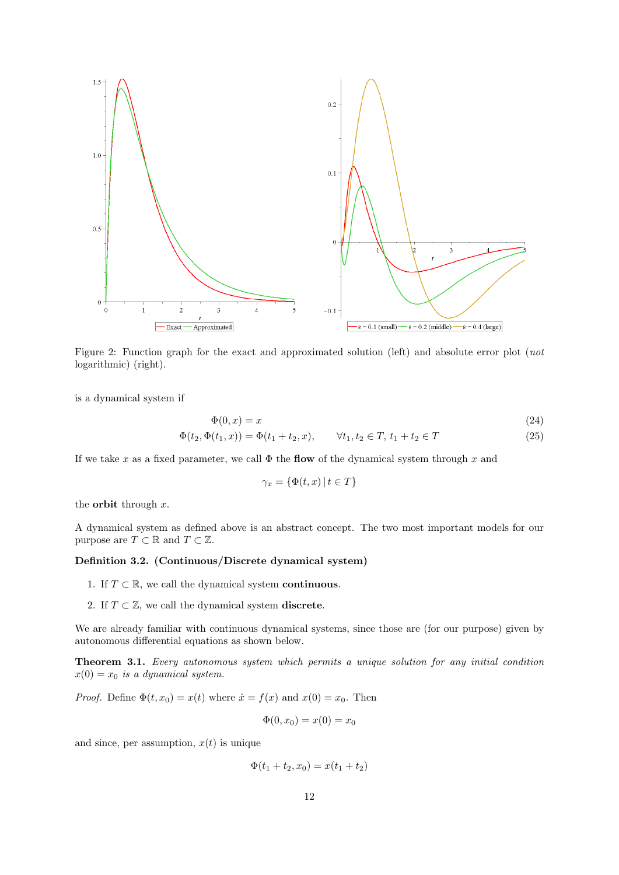

<span id="page-12-0"></span>Figure 2: Function graph for the exact and approximated solution (left) and absolute error plot (not logarithmic) (right).

is a dynamical system if

$$
\Phi(0, x) = x
$$
\n
$$
\Phi(t_2, \Phi(t_1, x)) = \Phi(t_1 + t_2, x), \qquad \forall t_1, t_2 \in T, t_1 + t_2 \in T
$$
\n(24)

If we take x as a fixed parameter, we call  $\Phi$  the flow of the dynamical system through x and

$$
\gamma_x = \{ \Phi(t, x) \, | \, t \in T \}
$$

the **orbit** through  $x$ .

A dynamical system as defined above is an abstract concept. The two most important models for our purpose are  $T \subset \mathbb{R}$  and  $T \subset \mathbb{Z}$ .

#### Definition 3.2. (Continuous/Discrete dynamical system)

- 1. If  $T \subset \mathbb{R}$ , we call the dynamical system **continuous**.
- 2. If  $T \subset \mathbb{Z}$ , we call the dynamical system **discrete**.

We are already familiar with continuous dynamical systems, since those are (for our purpose) given by autonomous differential equations as shown below.

Theorem 3.1. Every autonomous system which permits a unique solution for any initial condition  $x(0) = x_0$  is a dynamical system.

*Proof.* Define  $\Phi(t, x_0) = x(t)$  where  $\dot{x} = f(x)$  and  $x(0) = x_0$ . Then

$$
\Phi(0, x_0) = x(0) = x_0
$$

and since, per assumption,  $x(t)$  is unique

$$
\Phi(t_1 + t_2, x_0) = x(t_1 + t_2)
$$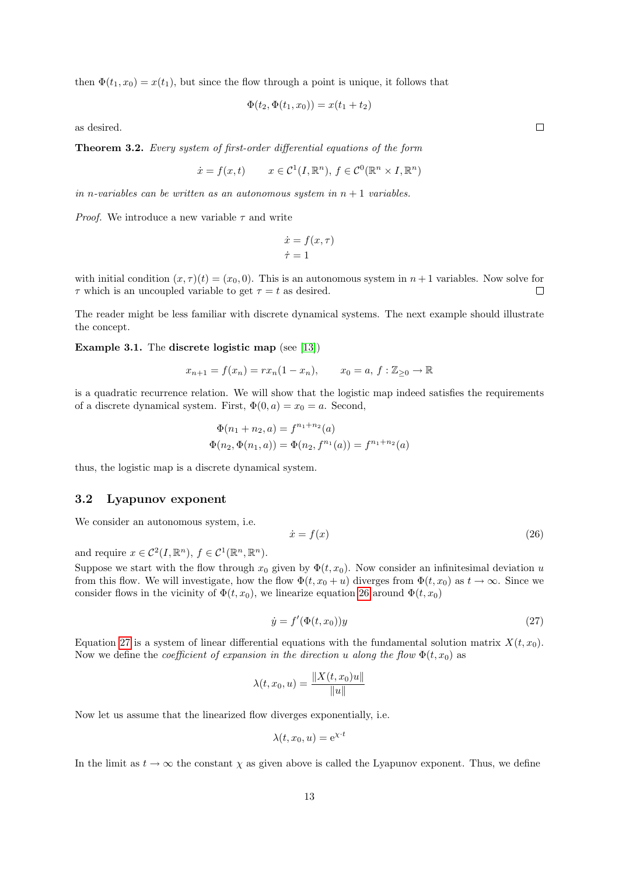then  $\Phi(t_1, x_0) = x(t_1)$ , but since the flow through a point is unique, it follows that

$$
\Phi(t_2, \Phi(t_1, x_0)) = x(t_1 + t_2)
$$

as desired.

Theorem 3.2. Every system of first-order differential equations of the form

$$
\dot{x} = f(x, t) \qquad x \in \mathcal{C}^1(I, \mathbb{R}^n), \ f \in \mathcal{C}^0(\mathbb{R}^n \times I, \mathbb{R}^n)
$$

in n-variables can be written as an autonomous system in  $n + 1$  variables.

*Proof.* We introduce a new variable  $\tau$  and write

$$
\begin{aligned}\n\dot{x} &= f(x, \tau) \\
\dot{\tau} &= 1\n\end{aligned}
$$

with initial condition  $(x, \tau)(t) = (x_0, 0)$ . This is an autonomous system in  $n + 1$  variables. Now solve for  $\tau$  which is an uncoupled variable to get  $\tau = t$  as desired.  $\Box$ 

The reader might be less familiar with discrete dynamical systems. The next example should illustrate the concept.

Example 3.1. The discrete logistic map (see [\[13\]](#page-24-7))

$$
x_{n+1} = f(x_n) = rx_n(1 - x_n),
$$
  $x_0 = a, f : \mathbb{Z}_{\geq 0} \to \mathbb{R}$ 

is a quadratic recurrence relation. We will show that the logistic map indeed satisfies the requirements of a discrete dynamical system. First,  $\Phi(0, a) = x_0 = a$ . Second,

$$
\Phi(n_1 + n_2, a) = f^{n_1 + n_2}(a)
$$
  

$$
\Phi(n_2, \Phi(n_1, a)) = \Phi(n_2, f^{n_1}(a)) = f^{n_1 + n_2}(a)
$$

thus, the logistic map is a discrete dynamical system.

#### <span id="page-13-0"></span>3.2 Lyapunov exponent

We consider an autonomous system, i.e.

<span id="page-13-1"></span>
$$
\dot{x} = f(x) \tag{26}
$$

and require  $x \in C^2(I, \mathbb{R}^n)$ ,  $f \in C^1(\mathbb{R}^n, \mathbb{R}^n)$ .

Suppose we start with the flow through  $x_0$  given by  $\Phi(t, x_0)$ . Now consider an infinitesimal deviation u from this flow. We will investigate, how the flow  $\Phi(t, x_0 + u)$  diverges from  $\Phi(t, x_0)$  as  $t \to \infty$ . Since we consider flows in the vicinity of  $\Phi(t, x_0)$ , we linearize equation [26](#page-13-1) around  $\Phi(t, x_0)$ 

<span id="page-13-2"></span>
$$
\dot{y} = f'(\Phi(t, x_0))y\tag{27}
$$

Equation [27](#page-13-2) is a system of linear differential equations with the fundamental solution matrix  $X(t, x_0)$ . Now we define the *coefficient of expansion in the direction u along the flow*  $\Phi(t, x_0)$  as

$$
\lambda(t, x_0, u) = \frac{\|X(t, x_0)u\|}{\|u\|}
$$

Now let us assume that the linearized flow diverges exponentially, i.e.

$$
\lambda(t, x_0, u) = e^{\chi \cdot t}
$$

In the limit as  $t \to \infty$  the constant  $\chi$  as given above is called the Lyapunov exponent. Thus, we define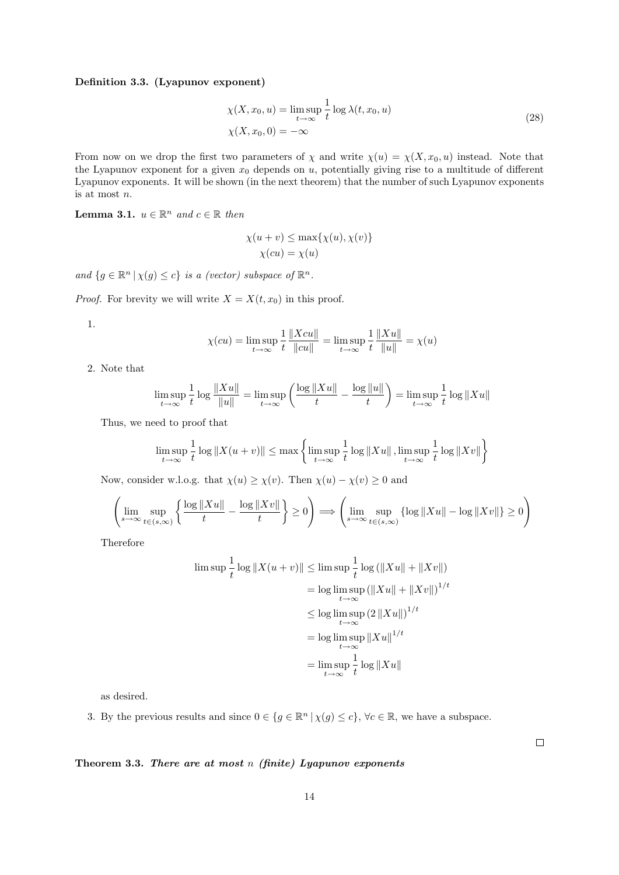#### <span id="page-14-0"></span>Definition 3.3. (Lyapunov exponent)

$$
\chi(X, x_0, u) = \limsup_{t \to \infty} \frac{1}{t} \log \lambda(t, x_0, u)
$$
  

$$
\chi(X, x_0, 0) = -\infty
$$
 (28)

From now on we drop the first two parameters of  $\chi$  and write  $\chi(u) = \chi(X, x_0, u)$  instead. Note that the Lyapunov exponent for a given  $x_0$  depends on u, potentially giving rise to a multitude of different Lyapunov exponents. It will be shown (in the next theorem) that the number of such Lyapunov exponents is at most n.

**Lemma 3.1.**  $u \in \mathbb{R}^n$  and  $c \in \mathbb{R}$  then

$$
\chi(u + v) \le \max{\chi(u), \chi(v)}
$$
  

$$
\chi(cu) = \chi(u)
$$

and  $\{g \in \mathbb{R}^n \mid \chi(g) \leq c\}$  is a (vector) subspace of  $\mathbb{R}^n$ .

*Proof.* For brevity we will write  $X = X(t, x_0)$  in this proof.

1.

$$
\chi(cu) = \limsup_{t \to \infty} \frac{1}{t} \frac{\|Xcu\|}{\|cu\|} = \limsup_{t \to \infty} \frac{1}{t} \frac{\|Xu\|}{\|u\|} = \chi(u)
$$

2. Note that

$$
\limsup_{t \to \infty} \frac{1}{t} \log \frac{\|Xu\|}{\|u\|} = \limsup_{t \to \infty} \left( \frac{\log \|Xu\|}{t} - \frac{\log \|u\|}{t} \right) = \limsup_{t \to \infty} \frac{1}{t} \log \|Xu\|
$$

Thus, we need to proof that

$$
\limsup_{t \to \infty} \frac{1}{t} \log ||X(u+v)|| \le \max \left\{ \limsup_{t \to \infty} \frac{1}{t} \log ||Xu||, \limsup_{t \to \infty} \frac{1}{t} \log ||Xv|| \right\}
$$

Now, consider w.l.o.g. that  $\chi(u) \geq \chi(v)$ . Then  $\chi(u) - \chi(v) \geq 0$  and

$$
\left(\lim_{s\to\infty}\sup_{t\in(s,\infty)}\left\{\frac{\log\|Xu\|}{t}-\frac{\log\|Xv\|}{t}\right\}\geq 0\right)\Longrightarrow\left(\lim_{s\to\infty}\sup_{t\in(s,\infty)}\left\{\log\|Xu\|-\log\|Xv\|\right\}\geq 0\right)
$$

Therefore

$$
\limsup_{t \to \infty} \frac{1}{t} \log ||X(u+v)|| \le \limsup_{t \to \infty} \frac{1}{t} \log (||Xu|| + ||Xv||)
$$
  
= log \limsup\_{t \to \infty} (||Xu|| + ||Xv||)^{1/t}  

$$
\le \log \limsup_{t \to \infty} (2 ||Xu||)^{1/t}
$$
  
= log \limsup\_{t \to \infty} ||Xu||^{1/t}  
= 
$$
\limsup_{t \to \infty} \frac{1}{t} \log ||Xu||
$$

as desired.

3. By the previous results and since  $0 \in \{g \in \mathbb{R}^n \mid \chi(g) \leq c\}$ ,  $\forall c \in \mathbb{R}$ , we have a subspace.

#### Theorem 3.3. There are at most n (finite) Lyapunov exponents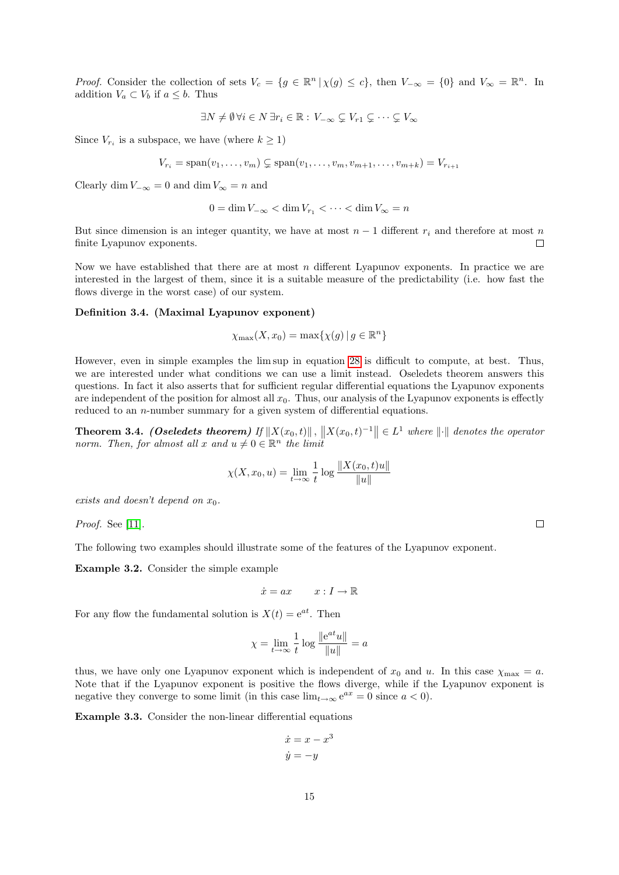*Proof.* Consider the collection of sets  $V_c = \{g \in \mathbb{R}^n \mid \chi(g) \leq c\}$ , then  $V_{-\infty} = \{0\}$  and  $V_{\infty} = \mathbb{R}^n$ . In addition  $V_a \subset V_b$  if  $a \leq b$ . Thus

$$
\exists N \neq \emptyset \, \forall i \in N \, \exists r_i \in \mathbb{R}: \, V_{-\infty} \subsetneq V_{r1} \subsetneq \cdots \subsetneq V_{\infty}
$$

Since  $V_{r_i}$  is a subspace, we have (where  $k \geq 1$ )

$$
V_{r_i} = \text{span}(v_1, \dots, v_m) \subsetneq \text{span}(v_1, \dots, v_m, v_{m+1}, \dots, v_{m+k}) = V_{r_{i+1}}
$$

Clearly dim  $V_{-\infty} = 0$  and dim  $V_{\infty} = n$  and

$$
0 = \dim V_{-\infty} < \dim V_{r_1} < \cdots < \dim V_{\infty} = n
$$

But since dimension is an integer quantity, we have at most  $n-1$  different  $r_i$  and therefore at most n finite Lyapunov exponents.  $\Box$ 

Now we have established that there are at most  $n$  different Lyapunov exponents. In practice we are interested in the largest of them, since it is a suitable measure of the predictability (i.e. how fast the flows diverge in the worst case) of our system.

#### Definition 3.4. (Maximal Lyapunov exponent)

$$
\chi_{\max}(X, x_0) = \max\{\chi(g) \, | \, g \in \mathbb{R}^n\}
$$

However, even in simple examples the lim sup in equation [28](#page-14-0) is difficult to compute, at best. Thus, we are interested under what conditions we can use a limit instead. Oseledets theorem answers this questions. In fact it also asserts that for sufficient regular differential equations the Lyapunov exponents are independent of the position for almost all  $x_0$ . Thus, our analysis of the Lyapunov exponents is effectly reduced to an *n*-number summary for a given system of differential equations.

**Theorem 3.4.** (Oseledets theorem) If  $||X(x_0, t)||$ ,  $||X(x_0, t)^{-1}|| \in L^1$  where  $||\cdot||$  denotes the operator norm. Then, for almost all x and  $u \neq 0 \in \mathbb{R}^n$  the limit

$$
\chi(X, x_0, u) = \lim_{t \to \infty} \frac{1}{t} \log \frac{\|X(x_0, t)u\|}{\|u\|}
$$

exists and doesn't depend on  $x_0$ .

Proof. See [\[11\]](#page-24-8).

The following two examples should illustrate some of the features of the Lyapunov exponent.

<span id="page-15-0"></span>Example 3.2. Consider the simple example

$$
\dot{x} = ax \qquad x : I \to \mathbb{R}
$$

For any flow the fundamental solution is  $X(t) = e^{at}$ . Then

$$
\chi = \lim_{t \to \infty} \frac{1}{t} \log \frac{\|e^{at}u\|}{\|u\|} = a
$$

thus, we have only one Lyapunov exponent which is independent of  $x_0$  and u. In this case  $\chi_{\text{max}} = a$ . Note that if the Lyapunov exponent is positive the flows diverge, while if the Lyapunov exponent is negative they converge to some limit (in this case  $\lim_{t\to\infty} e^{ax} = 0$  since  $a < 0$ ).

Example 3.3. Consider the non-linear differential equations

$$
\begin{aligned}\n\dot{x} &= x - x^3 \\
\dot{y} &= -y\n\end{aligned}
$$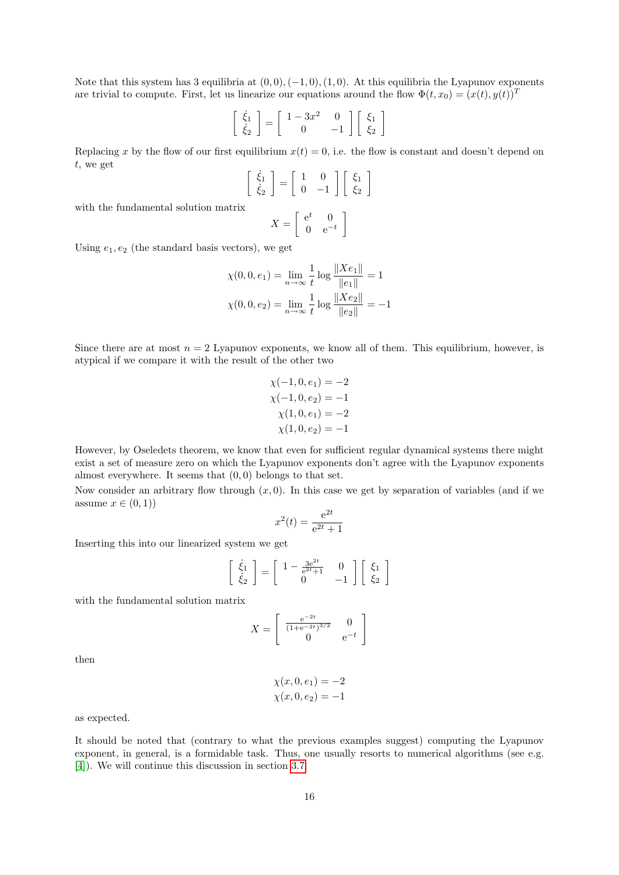Note that this system has 3 equilibria at  $(0, 0), (-1, 0), (1, 0)$ . At this equilibria the Lyapunov exponents are trivial to compute. First, let us linearize our equations around the flow  $\Phi(t, x_0) = (x(t), y(t))^T$ 

$$
\left[\begin{array}{c} \dot{\xi}_1\\ \dot{\xi}_2 \end{array}\right] = \left[\begin{array}{cc} 1-3x^2 & 0\\ 0 & -1 \end{array}\right] \left[\begin{array}{c} \xi_1\\ \xi_2 \end{array}\right]
$$

Replacing x by the flow of our first equilibrium  $x(t) = 0$ , i.e. the flow is constant and doesn't depend on t, we get

$$
\left[\begin{array}{c} \dot{\xi}_1\\ \dot{\xi}_2 \end{array}\right] = \left[\begin{array}{cc} 1 & 0\\ 0 & -1 \end{array}\right] \left[\begin{array}{c} \xi_1\\ \xi_2 \end{array}\right]
$$

with the fundamental solution matrix

$$
X = \left[ \begin{array}{cc} e^t & 0 \\ 0 & e^{-t} \end{array} \right]
$$

Using  $e_1, e_2$  (the standard basis vectors), we get

$$
\chi(0, 0, e_1) = \lim_{n \to \infty} \frac{1}{t} \log \frac{\|Xe_1\|}{\|e_1\|} = 1
$$
  

$$
\chi(0, 0, e_2) = \lim_{n \to \infty} \frac{1}{t} \log \frac{\|Xe_2\|}{\|e_2\|} = -1
$$

Since there are at most  $n = 2$  Lyapunov exponents, we know all of them. This equilibrium, however, is atypical if we compare it with the result of the other two

$$
\chi(-1, 0, e_1) = -2
$$
  
\n
$$
\chi(-1, 0, e_2) = -1
$$
  
\n
$$
\chi(1, 0, e_1) = -2
$$
  
\n
$$
\chi(1, 0, e_2) = -1
$$

However, by Oseledets theorem, we know that even for sufficient regular dynamical systems there might exist a set of measure zero on which the Lyapunov exponents don't agree with the Lyapunov exponents almost everywhere. It seems that  $(0, 0)$  belongs to that set.

Now consider an arbitrary flow through  $(x, 0)$ . In this case we get by separation of variables (and if we assume  $x \in (0,1)$ 

$$
x^{2}(t) = \frac{e^{2t}}{e^{2t} + 1}
$$

Inserting this into our linearized system we get

$$
\begin{bmatrix} \dot{\xi}_1 \\ \dot{\xi}_2 \end{bmatrix} = \begin{bmatrix} 1 - \frac{3e^{2t}}{e^{2t} + 1} & 0 \\ 0 & -1 \end{bmatrix} \begin{bmatrix} \xi_1 \\ \xi_2 \end{bmatrix}
$$

with the fundamental solution matrix

$$
X = \begin{bmatrix} \frac{e^{-2t}}{(1+e^{-2t})^{3/2}} & 0\\ 0 & e^{-t} \end{bmatrix}
$$

then

$$
\chi(x,0,e_1) = -2
$$
  

$$
\chi(x,0,e_2) = -1
$$

as expected.

It should be noted that (contrary to what the previous examples suggest) computing the Lyapunov exponent, in general, is a formidable task. Thus, one usually resorts to numerical algorithms (see e.g. [\[4\]](#page-24-9)). We will continue this discussion in section [3.7.](#page-22-0)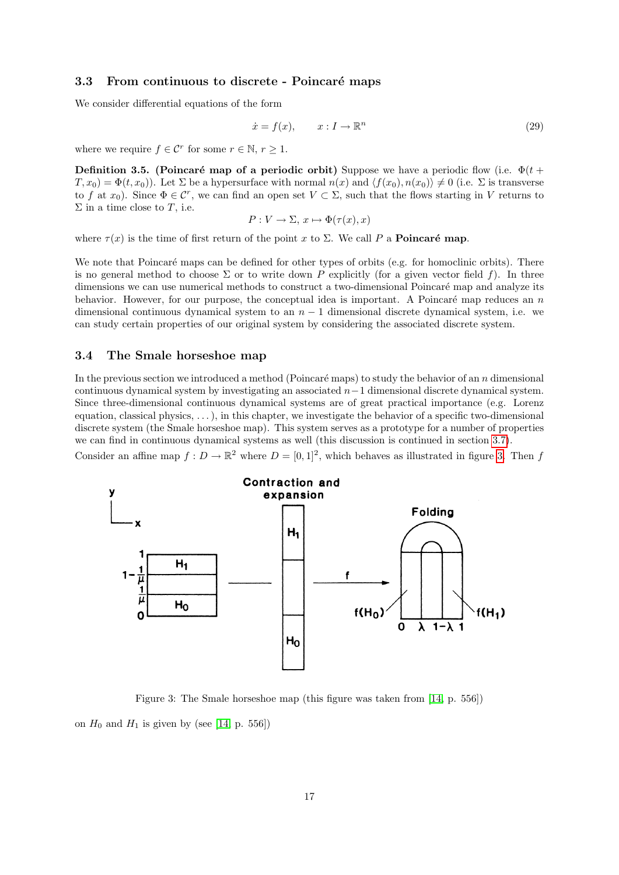#### <span id="page-17-0"></span>3.3 From continuous to discrete - Poincaré maps

We consider differential equations of the form

$$
\dot{x} = f(x), \qquad x: I \to \mathbb{R}^n \tag{29}
$$

where we require  $f \in \mathcal{C}^r$  for some  $r \in \mathbb{N}, r \geq 1$ .

**Definition 3.5.** (Poincaré map of a periodic orbit) Suppose we have a periodic flow (i.e.  $\Phi(t + \theta)$  $T, x_0$  =  $\Phi(t, x_0)$ . Let  $\Sigma$  be a hypersurface with normal  $n(x)$  and  $\langle f(x_0), n(x_0) \rangle \neq 0$  (i.e.  $\Sigma$  is transverse to f at  $x_0$ ). Since  $\Phi \in \mathcal{C}^r$ , we can find an open set  $V \subset \Sigma$ , such that the flows starting in V returns to  $\Sigma$  in a time close to T, i.e.

$$
P: V \to \Sigma, x \mapsto \Phi(\tau(x), x)
$$

where  $\tau(x)$  is the time of first return of the point x to  $\Sigma$ . We call P a **Poincaré map**.

We note that Poincaré maps can be defined for other types of orbits (e.g. for homoclinic orbits). There is no general method to choose  $\Sigma$  or to write down P explicitly (for a given vector field f). In three dimensions we can use numerical methods to construct a two-dimensional Poincaré map and analyze its behavior. However, for our purpose, the conceptual idea is important. A Poincaré map reduces an  $n$ dimensional continuous dynamical system to an  $n-1$  dimensional discrete dynamical system, i.e. we can study certain properties of our original system by considering the associated discrete system.

#### <span id="page-17-1"></span>3.4 The Smale horseshoe map

In the previous section we introduced a method (Poincaré maps) to study the behavior of an  $n$  dimensional continuous dynamical system by investigating an associated n−1 dimensional discrete dynamical system. Since three-dimensional continuous dynamical systems are of great practical importance (e.g. Lorenz equation, classical physics, . . . ), in this chapter, we investigate the behavior of a specific two-dimensional discrete system (the Smale horseshoe map). This system serves as a prototype for a number of properties we can find in continuous dynamical systems as well (this discussion is continued in section [3.7\)](#page-22-0). Consider an affine map  $f: D \to \mathbb{R}^2$  where  $D = [0, 1]^2$ , which behaves as illustrated in figure [3.](#page-17-2) Then f



<span id="page-17-2"></span>Figure 3: The Smale horseshoe map (this figure was taken from [\[14,](#page-24-5) p. 556]) on  $H_0$  and  $H_1$  is given by (see [\[14,](#page-24-5) p. 556])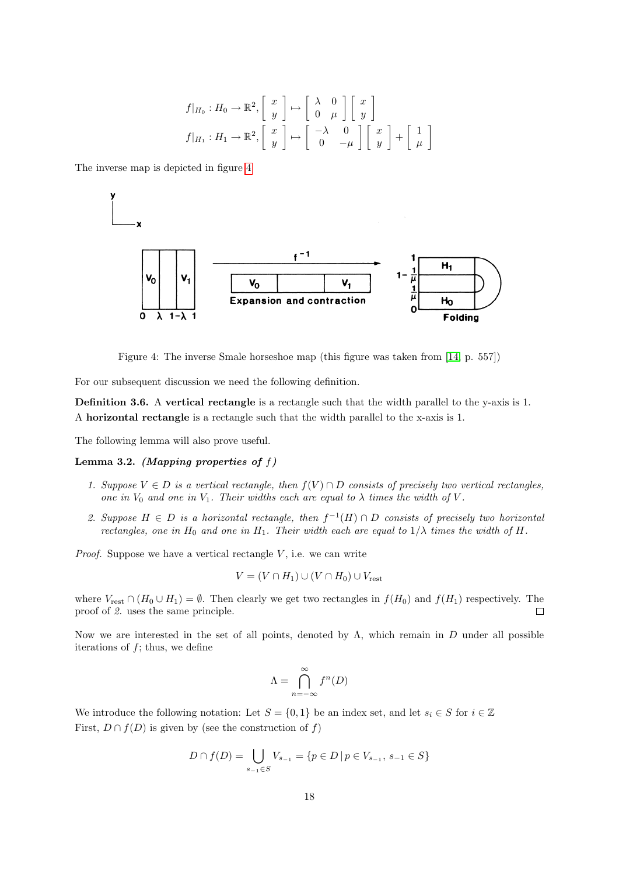$$
f|_{H_0}: H_0 \to \mathbb{R}^2, \begin{bmatrix} x \\ y \end{bmatrix} \mapsto \begin{bmatrix} \lambda & 0 \\ 0 & \mu \end{bmatrix} \begin{bmatrix} x \\ y \end{bmatrix}
$$

$$
f|_{H_1}: H_1 \to \mathbb{R}^2, \begin{bmatrix} x \\ y \end{bmatrix} \mapsto \begin{bmatrix} -\lambda & 0 \\ 0 & -\mu \end{bmatrix} \begin{bmatrix} x \\ y \end{bmatrix} + \begin{bmatrix} 1 \\ \mu \end{bmatrix}
$$

The inverse map is depicted in figure [4](#page-18-0)



<span id="page-18-0"></span>Figure 4: The inverse Smale horseshoe map (this figure was taken from [\[14,](#page-24-5) p. 557])

For our subsequent discussion we need the following definition.

Definition 3.6. A vertical rectangle is a rectangle such that the width parallel to the y-axis is 1. A horizontal rectangle is a rectangle such that the width parallel to the x-axis is 1.

The following lemma will also prove useful.

#### Lemma 3.2. (Mapping properties of  $f$ )

- 1. Suppose  $V \in D$  is a vertical rectangle, then  $f(V) \cap D$  consists of precisely two vertical rectangles, one in  $V_0$  and one in  $V_1$ . Their widths each are equal to  $\lambda$  times the width of V.
- 2. Suppose  $H \in D$  is a horizontal rectangle, then  $f^{-1}(H) \cap D$  consists of precisely two horizontal rectangles, one in  $H_0$  and one in  $H_1$ . Their width each are equal to  $1/\lambda$  times the width of H.

*Proof.* Suppose we have a vertical rectangle  $V$ , i.e. we can write

$$
V = (V \cap H_1) \cup (V \cap H_0) \cup V_{\text{rest}}
$$

where  $V_{\text{rest}} \cap (H_0 \cup H_1) = \emptyset$ . Then clearly we get two rectangles in  $f(H_0)$  and  $f(H_1)$  respectively. The proof of 2. uses the same principle.  $\Box$ 

Now we are interested in the set of all points, denoted by  $\Lambda$ , which remain in D under all possible iterations of  $f$ ; thus, we define

$$
\Lambda = \bigcap_{n=-\infty}^{\infty} f^n(D)
$$

We introduce the following notation: Let  $S = \{0,1\}$  be an index set, and let  $s_i \in S$  for  $i \in \mathbb{Z}$ First,  $D \cap f(D)$  is given by (see the construction of f)

$$
D \cap f(D) = \bigcup_{s_{-1} \in S} V_{s_{-1}} = \{ p \in D \mid p \in V_{s_{-1}}, s_{-1} \in S \}
$$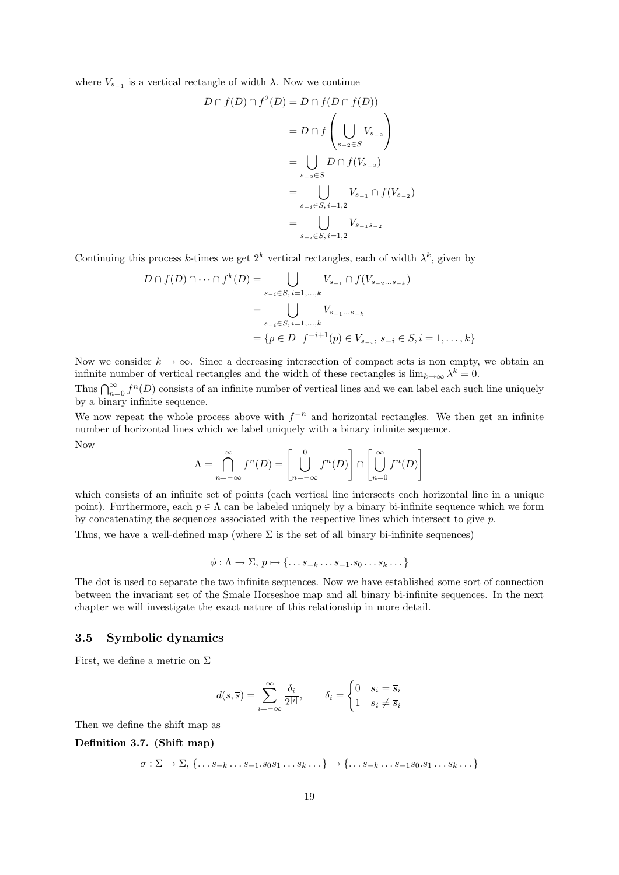where  $V_{s-1}$  is a vertical rectangle of width  $\lambda$ . Now we continue

$$
D \cap f(D) \cap f^{2}(D) = D \cap f(D \cap f(D))
$$
  
=  $D \cap f \left( \bigcup_{s_{-2} \in S} V_{s_{-2}} \right)$   
=  $\bigcup_{s_{-2} \in S} D \cap f(V_{s_{-2}})$   
=  $\bigcup_{s_{-i} \in S, i=1,2} V_{s_{-1}} \cap f(V_{s_{-2}})$   
=  $\bigcup_{s_{-i} \in S, i=1,2} V_{s_{-1}s_{-2}}$ 

Continuing this process k-times we get  $2^k$  vertical rectangles, each of width  $\lambda^k$ , given by

$$
D \cap f(D) \cap \dots \cap f^{k}(D) = \bigcup_{s_{-i} \in S, i=1,...,k} V_{s_{-1}} \cap f(V_{s_{-2}...s_{-k}})
$$
  
= 
$$
\bigcup_{s_{-i} \in S, i=1,...,k} V_{s_{-1}...s_{-k}}
$$
  
= 
$$
\{p \in D \mid f^{-i+1}(p) \in V_{s_{-i}}, s_{-i} \in S, i = 1,...,k\}
$$

Now we consider  $k \to \infty$ . Since a decreasing intersection of compact sets is non empty, we obtain an infinite number of vertical rectangles and the width of these rectangles is  $\lim_{k\to\infty}\lambda^k=0$ .

Thus  $\bigcap_{n=0}^{\infty} f^n(D)$  consists of an infinite number of vertical lines and we can label each such line uniquely by a binary infinite sequence.

We now repeat the whole process above with  $f^{-n}$  and horizontal rectangles. We then get an infinite number of horizontal lines which we label uniquely with a binary infinite sequence. Now

$$
\Lambda = \bigcap_{n=-\infty}^{\infty} f^n(D) = \left[ \bigcup_{n=-\infty}^{0} f^n(D) \right] \cap \left[ \bigcup_{n=0}^{\infty} f^n(D) \right]
$$

which consists of an infinite set of points (each vertical line intersects each horizontal line in a unique point). Furthermore, each  $p \in \Lambda$  can be labeled uniquely by a binary bi-infinite sequence which we form by concatenating the sequences associated with the respective lines which intersect to give  $p$ .

Thus, we have a well-defined map (where  $\Sigma$  is the set of all binary bi-infinite sequences)

$$
\phi: \Lambda \to \Sigma, p \mapsto \{\ldots s_{-k} \ldots s_{-1}.s_0 \ldots s_k \ldots\}
$$

The dot is used to separate the two infinite sequences. Now we have established some sort of connection between the invariant set of the Smale Horseshoe map and all binary bi-infinite sequences. In the next chapter we will investigate the exact nature of this relationship in more detail.

#### <span id="page-19-0"></span>3.5 Symbolic dynamics

First, we define a metric on  $\Sigma$ 

$$
d(s,\overline{s}) = \sum_{i=-\infty}^{\infty} \frac{\delta_i}{2^{|i|}}, \qquad \delta_i = \begin{cases} 0 & s_i = \overline{s}_i \\ 1 & s_i \neq \overline{s}_i \end{cases}
$$

Then we define the shift map as

Definition 3.7. (Shift map)

$$
\sigma: \Sigma \to \Sigma, \{\ldots s_{-k} \ldots s_{-1}.s_0 s_1 \ldots s_k \ldots \} \mapsto \{\ldots s_{-k} \ldots s_{-1} s_0 . s_1 \ldots s_k \ldots \}
$$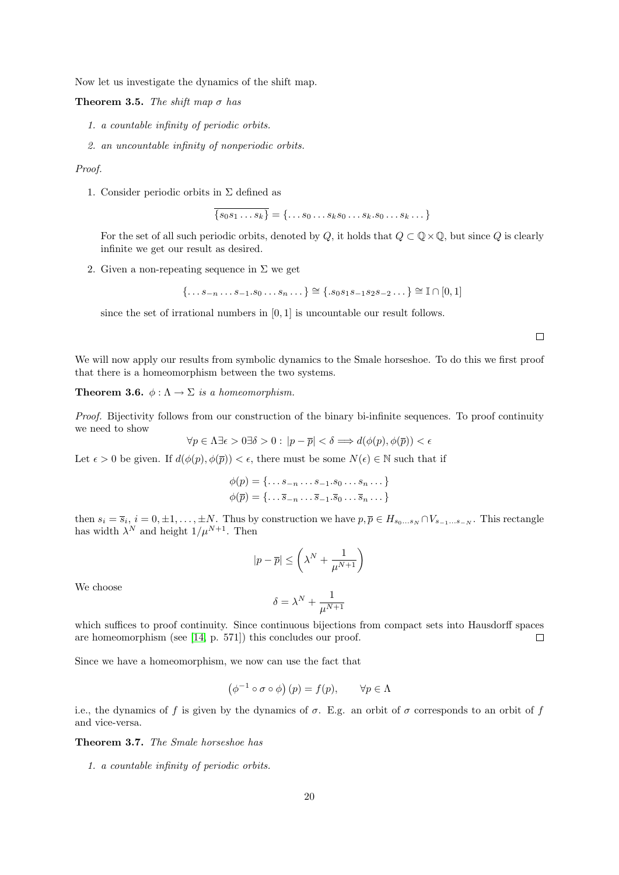Now let us investigate the dynamics of the shift map.

Theorem 3.5. The shift map  $\sigma$  has

- 1. a countable infinity of periodic orbits.
- 2. an uncountable infinity of nonperiodic orbits.

#### Proof.

1. Consider periodic orbits in  $\Sigma$  defined as

$$
\overline{\{s_0s_1\ldots s_k\}} = \{\ldots s_0\ldots s_ks_0\ldots s_k.s_0\ldots s_k\ldots\}
$$

For the set of all such periodic orbits, denoted by Q, it holds that  $Q \subset \mathbb{Q} \times \mathbb{Q}$ , but since Q is clearly infinite we get our result as desired.

2. Given a non-repeating sequence in  $\Sigma$  we get

$$
\{\ldots s_{-n}\ldots s_{-1}.s_0\ldots s_n\ldots\} \cong \{ .s_0s_1s_{-1}s_2s_{-2}\ldots\} \cong \mathbb{I} \cap [0,1]
$$

since the set of irrational numbers in [0, 1] is uncountable our result follows.

 $\Box$ 

We will now apply our results from symbolic dynamics to the Smale horseshoe. To do this we first proof that there is a homeomorphism between the two systems.

**Theorem 3.6.**  $\phi : \Lambda \to \Sigma$  is a homeomorphism.

Proof. Bijectivity follows from our construction of the binary bi-infinite sequences. To proof continuity we need to show

$$
\forall p \in \Lambda \exists \epsilon > 0 \exists \delta > 0 : |p - \overline{p}| < \delta \Longrightarrow d(\phi(p), \phi(\overline{p})) < \epsilon
$$

Let  $\epsilon > 0$  be given. If  $d(\phi(p), \phi(\overline{p})) < \epsilon$ , there must be some  $N(\epsilon) \in \mathbb{N}$  such that if

$$
\phi(p) = \{\dots s_{-n} \dots s_{-1}.s_0 \dots s_n \dots \}
$$

$$
\phi(\overline{p}) = \{\dots \overline{s}_{-n} \dots \overline{s}_{-1}.s_0 \dots \overline{s}_n \dots \}
$$

then  $s_i = \overline{s}_i$ ,  $i = 0, \pm 1, \ldots, \pm N$ . Thus by construction we have  $p, \overline{p} \in H_{s_0 \ldots s_N} \cap V_{s_{-1} \ldots s_{-N}}$ . This rectangle has width  $\lambda^N$  and height  $1/\mu^{N+1}$ . Then

$$
|p - \overline{p}| \le \left(\lambda^N + \frac{1}{\mu^{N+1}}\right)
$$

We choose

$$
\delta=\lambda^N+\frac{1}{\mu^{N+1}}
$$

which suffices to proof continuity. Since continuous bijections from compact sets into Hausdorff spaces are homeomorphism (see [\[14,](#page-24-5) p. 571]) this concludes our proof.  $\Box$ 

Since we have a homeomorphism, we now can use the fact that

$$
(\phi^{-1} \circ \sigma \circ \phi)(p) = f(p), \qquad \forall p \in \Lambda
$$

i.e., the dynamics of f is given by the dynamics of  $\sigma$ . E.g. an orbit of  $\sigma$  corresponds to an orbit of f and vice-versa.

Theorem 3.7. The Smale horseshoe has

1. a countable infinity of periodic orbits.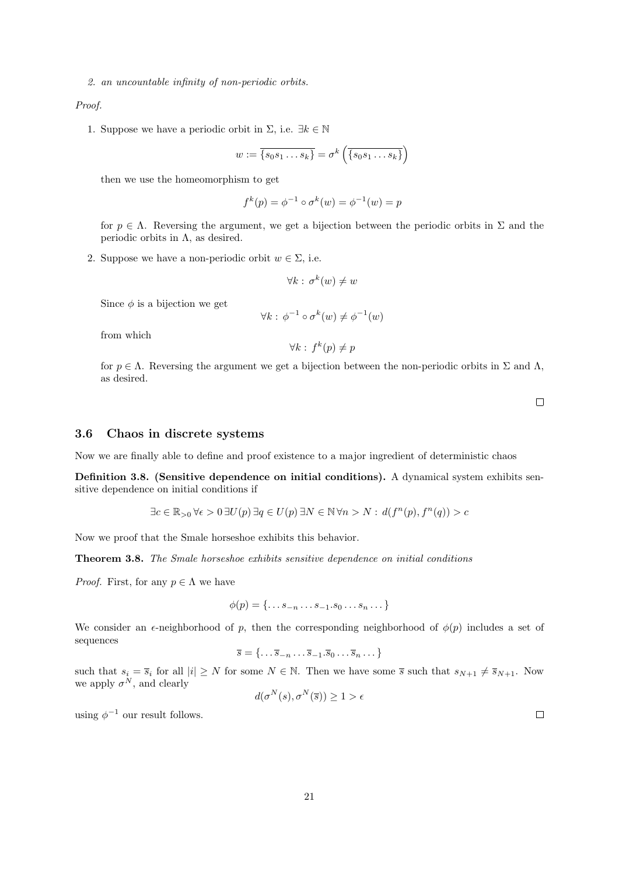2. an uncountable infinity of non-periodic orbits.

Proof.

1. Suppose we have a periodic orbit in  $\Sigma$ , i.e.  $\exists k \in \mathbb{N}$ 

$$
w := \overline{\{s_0s_1 \dots s_k\}} = \sigma^k \left( \overline{\{s_0s_1 \dots s_k\}} \right)
$$

then we use the homeomorphism to get

$$
f^{k}(p) = \phi^{-1} \circ \sigma^{k}(w) = \phi^{-1}(w) = p
$$

for  $p \in \Lambda$ . Reversing the argument, we get a bijection between the periodic orbits in  $\Sigma$  and the periodic orbits in  $\Lambda$ , as desired.

2. Suppose we have a non-periodic orbit  $w \in \Sigma$ , i.e.

$$
\forall k : \sigma^k(w) \neq w
$$

Since  $\phi$  is a bijection we get

$$
\forall k : \phi^{-1} \circ \sigma^k(w) \neq \phi^{-1}(w)
$$

from which

$$
\forall k : f^k(p) \neq p
$$

for  $p \in \Lambda$ . Reversing the argument we get a bijection between the non-periodic orbits in  $\Sigma$  and  $\Lambda$ , as desired.

 $\Box$ 

#### <span id="page-21-0"></span>3.6 Chaos in discrete systems

Now we are finally able to define and proof existence to a major ingredient of deterministic chaos

Definition 3.8. (Sensitive dependence on initial conditions). A dynamical system exhibits sensitive dependence on initial conditions if

$$
\exists c \in \mathbb{R}_{>0} \forall \epsilon > 0 \ \exists U(p) \ \exists q \in U(p) \ \exists N \in \mathbb{N} \ \forall n > N : d(f^n(p), f^n(q)) > c
$$

Now we proof that the Smale horseshoe exhibits this behavior.

Theorem 3.8. The Smale horseshoe exhibits sensitive dependence on initial conditions

*Proof.* First, for any  $p \in \Lambda$  we have

$$
\phi(p) = \{\ldots s_{-n} \ldots s_{-1}.s_0 \ldots s_n \ldots\}
$$

We consider an  $\epsilon$ -neighborhood of p, then the corresponding neighborhood of  $\phi(p)$  includes a set of sequences

$$
\overline{s} = \{ \dots \overline{s}_{-n} \dots \overline{s}_{-1} \cdot \overline{s}_0 \dots \overline{s}_n \dots \}
$$

such that  $s_i = \overline{s}_i$  for all  $|i| \geq N$  for some  $N \in \mathbb{N}$ . Then we have some  $\overline{s}$  such that  $s_{N+1} \neq \overline{s}_{N+1}$ . Now we apply  $\sigma^N$ , and clearly

$$
d(\sigma^N(s), \sigma^N(\overline{s})) \ge 1 > \epsilon
$$

using  $\phi^{-1}$  our result follows.

21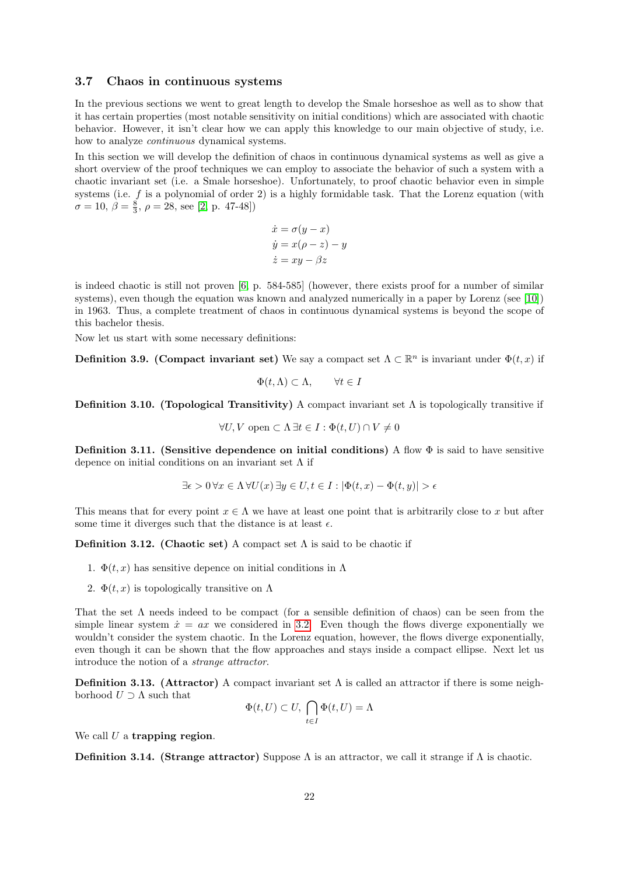#### <span id="page-22-0"></span>3.7 Chaos in continuous systems

In the previous sections we went to great length to develop the Smale horseshoe as well as to show that it has certain properties (most notable sensitivity on initial conditions) which are associated with chaotic behavior. However, it isn't clear how we can apply this knowledge to our main objective of study, i.e. how to analyze continuous dynamical systems.

In this section we will develop the definition of chaos in continuous dynamical systems as well as give a short overview of the proof techniques we can employ to associate the behavior of such a system with a chaotic invariant set (i.e. a Smale horseshoe). Unfortunately, to proof chaotic behavior even in simple systems (i.e.  $f$  is a polynomial of order 2) is a highly formidable task. That the Lorenz equation (with  $\sigma = 10, \, \beta = \frac{8}{3}, \, \rho = 28, \, \text{see [2, p. 47-48]})$  $\sigma = 10, \, \beta = \frac{8}{3}, \, \rho = 28, \, \text{see [2, p. 47-48]})$  $\sigma = 10, \, \beta = \frac{8}{3}, \, \rho = 28, \, \text{see [2, p. 47-48]})$ 

$$
\dot{x} = \sigma(y - x)
$$
  
\n
$$
\dot{y} = x(\rho - z) - y
$$
  
\n
$$
\dot{z} = xy - \beta z
$$

is indeed chaotic is still not proven [\[6,](#page-24-11) p. 584-585] (however, there exists proof for a number of similar systems), even though the equation was known and analyzed numerically in a paper by Lorenz (see [\[10\]](#page-24-12)) in 1963. Thus, a complete treatment of chaos in continuous dynamical systems is beyond the scope of this bachelor thesis.

Now let us start with some necessary definitions:

**Definition 3.9. (Compact invariant set)** We say a compact set  $\Lambda \subset \mathbb{R}^n$  is invariant under  $\Phi(t, x)$  if

$$
\Phi(t,\Lambda) \subset \Lambda, \qquad \forall t \in I
$$

Definition 3.10. (Topological Transitivity) A compact invariant set  $\Lambda$  is topologically transitive if

$$
\forall U, V \text{ open} \subset \Lambda \,\exists t \in I : \Phi(t, U) \cap V \neq 0
$$

Definition 3.11. (Sensitive dependence on initial conditions) A flow  $\Phi$  is said to have sensitive depence on initial conditions on an invariant set  $\Lambda$  if

$$
\exists \epsilon > 0 \,\forall x \in \Lambda \,\forall U(x) \,\exists y \in U, t \in I : |\Phi(t, x) - \Phi(t, y)| > \epsilon
$$

This means that for every point  $x \in \Lambda$  we have at least one point that is arbitrarily close to x but after some time it diverges such that the distance is at least  $\epsilon$ .

Definition 3.12. (Chaotic set) A compact set  $\Lambda$  is said to be chaotic if

- 1.  $\Phi(t, x)$  has sensitive depence on initial conditions in  $\Lambda$
- 2.  $\Phi(t, x)$  is topologically transitive on  $\Lambda$

That the set  $\Lambda$  needs indeed to be compact (for a sensible definition of chaos) can be seen from the simple linear system  $\dot{x} = ax$  we considered in [3.2.](#page-15-0) Even though the flows diverge exponentially we wouldn't consider the system chaotic. In the Lorenz equation, however, the flows diverge exponentially, even though it can be shown that the flow approaches and stays inside a compact ellipse. Next let us introduce the notion of a strange attractor.

**Definition 3.13.** (Attractor) A compact invariant set  $\Lambda$  is called an attractor if there is some neighborhood  $U \supset \Lambda$  such that

$$
\Phi(t, U) \subset U, \bigcap_{t \in I} \Phi(t, U) = \Lambda
$$

We call  $U$  a trapping region.

**Definition 3.14.** (Strange attractor) Suppose  $\Lambda$  is an attractor, we call it strange if  $\Lambda$  is chaotic.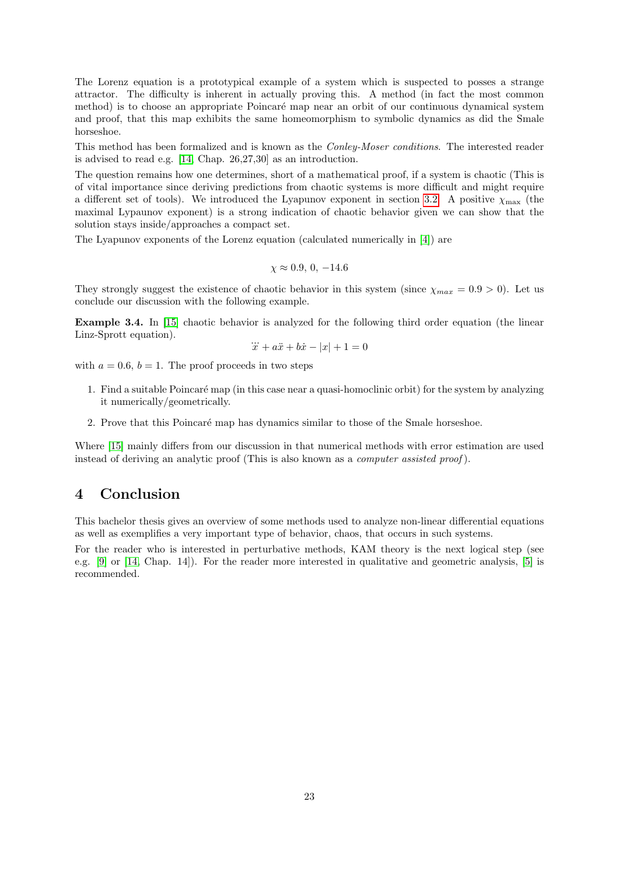The Lorenz equation is a prototypical example of a system which is suspected to posses a strange attractor. The difficulty is inherent in actually proving this. A method (in fact the most common method) is to choose an appropriate Poincaré map near an orbit of our continuous dynamical system and proof, that this map exhibits the same homeomorphism to symbolic dynamics as did the Smale horseshoe.

This method has been formalized and is known as the Conley-Moser conditions. The interested reader is advised to read e.g. [\[14,](#page-24-5) Chap. 26,27,30] as an introduction.

The question remains how one determines, short of a mathematical proof, if a system is chaotic (This is of vital importance since deriving predictions from chaotic systems is more difficult and might require a different set of tools). We introduced the Lyapunov exponent in section [3.2.](#page-13-0) A positive  $\chi_{\text{max}}$  (the maximal Lypaunov exponent) is a strong indication of chaotic behavior given we can show that the solution stays inside/approaches a compact set.

The Lyapunov exponents of the Lorenz equation (calculated numerically in [\[4\]](#page-24-9)) are

$$
\chi \approx 0.9, 0, -14.6
$$

They strongly suggest the existence of chaotic behavior in this system (since  $\chi_{max} = 0.9 > 0$ ). Let us conclude our discussion with the following example.

Example 3.4. In [\[15\]](#page-24-13) chaotic behavior is analyzed for the following third order equation (the linear Linz-Sprott equation). ...

$$
\ddot{x} + a\ddot{x} + b\dot{x} - |x| + 1 = 0
$$

with  $a = 0.6$ ,  $b = 1$ . The proof proceeds in two steps

- 1. Find a suitable Poincar´e map (in this case near a quasi-homoclinic orbit) for the system by analyzing it numerically/geometrically.
- 2. Prove that this Poincaré map has dynamics similar to those of the Smale horseshoe.

Where [\[15\]](#page-24-13) mainly differs from our discussion in that numerical methods with error estimation are used instead of deriving an analytic proof (This is also known as a *computer assisted proof*).

# <span id="page-23-0"></span>4 Conclusion

This bachelor thesis gives an overview of some methods used to analyze non-linear differential equations as well as exemplifies a very important type of behavior, chaos, that occurs in such systems.

For the reader who is interested in perturbative methods, KAM theory is the next logical step (see e.g. [\[9\]](#page-24-14) or [\[14,](#page-24-5) Chap. 14]). For the reader more interested in qualitative and geometric analysis, [\[5\]](#page-24-3) is recommended.